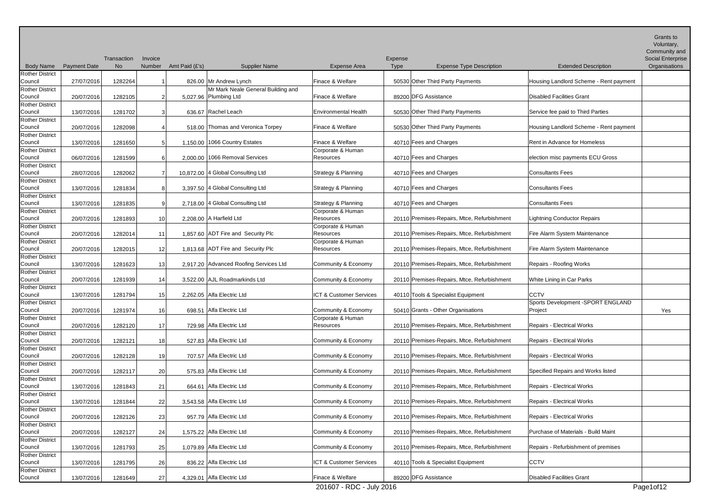|                                                             |                     | Transaction | Invoice          |                |                                                             |                                          | Expense     |                                             |                                                   | Grants to<br>Voluntary,<br>Community and<br>Social Enterprise |
|-------------------------------------------------------------|---------------------|-------------|------------------|----------------|-------------------------------------------------------------|------------------------------------------|-------------|---------------------------------------------|---------------------------------------------------|---------------------------------------------------------------|
| <b>Body Name</b>                                            | <b>Payment Date</b> | No          | Number           | Amt Paid (£'s) | <b>Supplier Name</b>                                        | <b>Expense Area</b>                      | <b>Type</b> | <b>Expense Type Description</b>             | <b>Extended Description</b>                       | Organisations                                                 |
| <b>Rother District</b><br>Council                           | 27/07/2016          | 1282264     |                  |                | 826.00 Mr Andrew Lynch                                      | Finace & Welfare                         |             | 50530 Other Third Party Payments            | Housing Landlord Scheme - Rent payment            |                                                               |
| <b>Rother District</b><br>Council                           | 20/07/2016          | 1282105     | $\overline{2}$   |                | Mr Mark Neale General Building and<br>5,027.96 Plumbing Ltd | Finace & Welfare                         |             | 89200 DFG Assistance                        | <b>Disabled Facilities Grant</b>                  |                                                               |
| <b>Rother District</b><br>Council                           | 13/07/2016          | 1281702     | $\mathbf{3}$     |                | 636.67 Rachel Leach                                         | <b>Environmental Health</b>              |             | 50530 Other Third Party Payments            | Service fee paid to Third Parties                 |                                                               |
| <b>Rother District</b><br>Council                           | 20/07/2016          | 1282098     | $\boldsymbol{4}$ |                | 518.00 Thomas and Veronica Torpey                           | Finace & Welfare                         |             | 50530 Other Third Party Payments            | Housing Landlord Scheme - Rent payment            |                                                               |
| <b>Rother District</b><br>Council                           | 13/07/2016          | 1281650     | $5\overline{)}$  |                | 1,150.00 1066 Country Estates                               | Finace & Welfare                         |             | 40710 Fees and Charges                      | Rent in Advance for Homeless                      |                                                               |
| <b>Rother District</b><br>Council                           | 06/07/2016          | 1281599     | 6                |                | 2,000.00 1066 Removal Services                              | Corporate & Human<br>Resources           |             | 40710 Fees and Charges                      | election misc payments ECU Gross                  |                                                               |
| <b>Rother District</b><br>Council                           | 28/07/2016          | 1282062     | $\overline{7}$   |                | 10,872.00 4 Global Consulting Ltd                           | <b>Strategy &amp; Planning</b>           |             | 40710 Fees and Charges                      | <b>Consultants Fees</b>                           |                                                               |
| <b>Rother District</b><br>Council                           | 13/07/2016          | 1281834     | 8                |                | 3,397.50 4 Global Consulting Ltd                            | Strategy & Planning                      |             | 40710 Fees and Charges                      | <b>Consultants Fees</b>                           |                                                               |
| <b>Rother District</b><br>Council                           | 13/07/2016          | 1281835     | 9                |                | 2,718.00 4 Global Consulting Ltd                            | <b>Strategy &amp; Planning</b>           |             | 40710 Fees and Charges                      | <b>Consultants Fees</b>                           |                                                               |
| <b>Rother District</b><br>Council                           | 20/07/2016          | 1281893     | 10 <sup>1</sup>  |                | 2,208.00 $\vert$ A Harfield Ltd                             | Corporate & Human<br><b>Resources</b>    |             | 20110 Premises-Repairs, Mtce, Refurbishment | <b>Lightning Conductor Repairs</b>                |                                                               |
| <b>Rother District</b><br>Council                           | 20/07/2016          | 1282014     | 11               |                | 1,857.60 ADT Fire and Security Plc                          | Corporate & Human<br>Resources           |             | 20110 Premises-Repairs, Mtce, Refurbishment | Fire Alarm System Maintenance                     |                                                               |
| <b>Rother District</b><br>Council<br><b>Rother District</b> | 20/07/2016          | 1282015     | 12               |                | 1,813.68 ADT Fire and Security Plc                          | Corporate & Human<br>Resources           |             | 20110 Premises-Repairs, Mtce, Refurbishment | Fire Alarm System Maintenance                     |                                                               |
| Council<br><b>Rother District</b>                           | 13/07/2016          | 1281623     | 13               |                | 2,917.20 Advanced Roofing Services Ltd                      | Community & Economy                      |             | 20110 Premises-Repairs, Mtce, Refurbishment | Repairs - Roofing Works                           |                                                               |
| Council<br><b>Rother District</b>                           | 20/07/2016          | 1281939     | 14               |                | 3,522.00 AJL Roadmarkinds Ltd                               | Community & Economy                      |             | 20110 Premises-Repairs, Mtce, Refurbishment | White Lining in Car Parks                         |                                                               |
| Council<br><b>Rother District</b>                           | 13/07/2016          | 1281794     | 15               |                | 2,262.05 Alfa Electric Ltd                                  | ICT & Customer Services                  |             | 40110 Tools & Specialist Equipment          | <b>CCTV</b><br>Sports Development - SPORT ENGLAND |                                                               |
| Council<br><b>Rother District</b>                           | 20/07/2016          | 1281974     | 16               |                | 698.51 Alfa Electric Ltd                                    | Community & Economy<br>Corporate & Human |             | 50410 Grants - Other Organisations          | Project                                           | Yes                                                           |
| Council<br><b>Rother District</b>                           | 20/07/2016          | 1282120     | 17               |                | 729.98 Alfa Electric Ltd                                    | Resources                                |             | 20110 Premises-Repairs, Mtce, Refurbishment | Repairs - Electrical Works                        |                                                               |
| Council<br><b>Rother District</b>                           | 20/07/2016          | 1282121     | 18 <sup>1</sup>  |                | 527.83 Alfa Electric Ltd                                    | Community & Economy                      |             | 20110 Premises-Repairs, Mtce, Refurbishment | <b>Repairs - Electrical Works</b>                 |                                                               |
| Council<br><b>Rother District</b>                           | 20/07/2016          | 1282128     | 19               |                | 707.57 Alfa Electric Ltd                                    | Community & Economy                      |             | 20110 Premises-Repairs, Mtce, Refurbishment | <b>Repairs - Electrical Works</b>                 |                                                               |
| Council<br><b>Rother District</b>                           | 20/07/2016          | 1282117     | 20               |                | 575.83 Alfa Electric Ltd                                    | Community & Economy                      |             | 20110 Premises-Repairs, Mtce, Refurbishment | Specified Repairs and Works listed                |                                                               |
| Council<br><b>Rother District</b>                           | 13/07/2016          | 1281843     | 21               |                | 664.61 Alfa Electric Ltd                                    | Community & Economy                      |             | 20110 Premises-Repairs, Mtce, Refurbishment | Repairs - Electrical Works                        |                                                               |
| Council<br><b>Rother District</b>                           | 13/07/2016          | 1281844     | 22               |                | 3,543.58 Alfa Electric Ltd                                  | Community & Economy                      |             | 20110 Premises-Repairs, Mtce, Refurbishment | <b>Repairs - Electrical Works</b>                 |                                                               |
| Council<br><b>Rother District</b>                           | 20/07/2016          | 1282126     | 23               |                | 957.79 Alfa Electric Ltd                                    | Community & Economy                      |             | 20110 Premises-Repairs, Mtce, Refurbishment | <b>Repairs - Electrical Works</b>                 |                                                               |
| Council<br><b>Rother District</b>                           | 20/07/2016          | 1282127     | 24               |                | 1,575.22 Alfa Electric Ltd                                  | Community & Economy                      |             | 20110 Premises-Repairs, Mtce, Refurbishment | Purchase of Materials - Build Maint               |                                                               |
| Council<br><b>Rother District</b>                           | 13/07/2016          | 1281793     | 25               |                | 1,079.89 Alfa Electric Ltd                                  | Community & Economy                      |             | 20110 Premises-Repairs, Mtce, Refurbishment | Repairs - Refurbishment of premises               |                                                               |
| Council<br><b>Rother District</b>                           | 13/07/2016          | 1281795     | 26               |                | 836.22 Alfa Electric Ltd                                    | ICT & Customer Services                  |             | 40110 Tools & Specialist Equipment          | <b>CCTV</b>                                       |                                                               |
| Council                                                     | 13/07/2016          | 1281649     | 27               |                | 4,329.01 Alfa Electric Ltd                                  | Finace & Welfare                         |             | 89200 DFG Assistance                        | Disabled Facilities Grant                         |                                                               |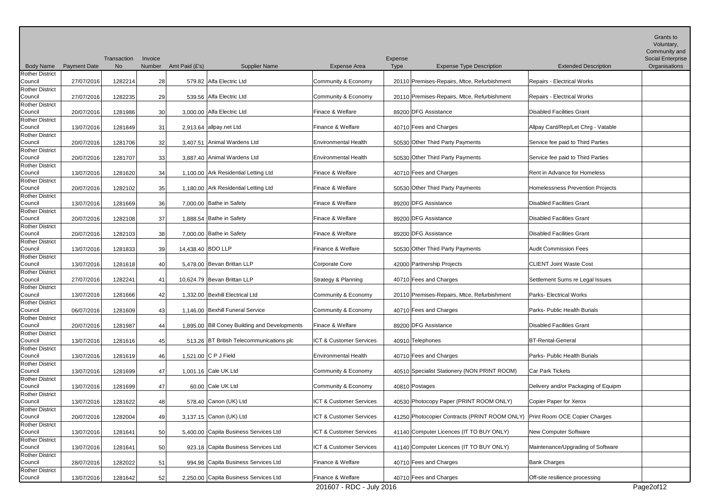|                                   |                     |             |         |                   |                                               |                             |             |                                                                             |                                     | Grants to<br>Voluntary,            |
|-----------------------------------|---------------------|-------------|---------|-------------------|-----------------------------------------------|-----------------------------|-------------|-----------------------------------------------------------------------------|-------------------------------------|------------------------------------|
|                                   |                     | Transaction | Invoice |                   |                                               |                             | Expense     |                                                                             |                                     | Community and<br>Social Enterprise |
| <b>Body Name</b>                  | <b>Payment Date</b> | No          | Number  | Amt Paid (£'s)    | <b>Supplier Name</b>                          | <b>Expense Area</b>         | <b>Type</b> | <b>Expense Type Description</b>                                             | <b>Extended Description</b>         | Organisations                      |
| <b>Rother District</b>            |                     |             |         |                   |                                               |                             |             |                                                                             |                                     |                                    |
| Council                           | 27/07/2016          | 1282214     | 28      |                   | 579.82 Alfa Electric Ltd                      | Community & Economy         |             | 20110 Premises-Repairs, Mtce, Refurbishment                                 | <b>Repairs - Electrical Works</b>   |                                    |
| <b>Rother District</b>            |                     |             |         |                   |                                               |                             |             |                                                                             |                                     |                                    |
| Council                           | 27/07/2016          | 1282235     | 29      |                   | 539.56 Alfa Electric Ltd                      | Community & Economy         |             | 20110 Premises-Repairs, Mtce, Refurbishment                                 | Repairs - Electrical Works          |                                    |
| <b>Rother District</b>            |                     |             |         |                   |                                               |                             |             |                                                                             |                                     |                                    |
| Council                           | 20/07/2016          | 1281986     | 30      |                   | 3,000.00 Alfa Electric Ltd                    | Finace & Welfare            |             | 89200 DFG Assistance                                                        | <b>Disabled Facilities Grant</b>    |                                    |
| <b>Rother District</b><br>Council | 13/07/2016          | 1281849     | 31      |                   | 2,913.64 allpay.net Ltd                       | Finance & Welfare           |             | 40710 Fees and Charges                                                      | Allpay Card/Rep/Let Chrg - Vatable  |                                    |
| <b>Rother District</b>            |                     |             |         |                   |                                               |                             |             |                                                                             |                                     |                                    |
| Council                           | 20/07/2016          | 1281706     | 32      |                   | 3.407.51 Animal Wardens Ltd                   | <b>Environmental Health</b> |             | 50530 Other Third Party Payments                                            | Service fee paid to Third Parties   |                                    |
| <b>Rother District</b>            |                     |             |         |                   |                                               |                             |             |                                                                             |                                     |                                    |
| Council                           | 20/07/2016          | 1281707     | 33      |                   | 3,887.40 Animal Wardens Ltd                   | <b>Environmental Health</b> |             | 50530 Other Third Party Payments                                            | Service fee paid to Third Parties   |                                    |
| <b>Rother District</b>            |                     |             |         |                   |                                               |                             |             |                                                                             |                                     |                                    |
| Council                           | 13/07/2016          | 1281620     | 34      |                   | 1,100.00 Ark Residential Letting Ltd          | Finace & Welfare            |             | 40710 Fees and Charges                                                      | Rent in Advance for Homeless        |                                    |
| <b>Rother District</b>            |                     |             |         |                   |                                               |                             |             |                                                                             |                                     |                                    |
| Council                           | 20/07/2016          | 1282102     | 35      |                   | 1,180.00 Ark Residential Letting Ltd          | Finace & Welfare            |             | 50530 Other Third Party Payments                                            | Homelessness Prevention Projects    |                                    |
| <b>Rother District</b><br>Council | 13/07/2016          | 1281669     | 36      |                   | 7,000.00 Bathe in Safety                      | Finace & Welfare            |             | 89200 DFG Assistance                                                        | <b>Disabled Facilities Grant</b>    |                                    |
| <b>Rother District</b>            |                     |             |         |                   |                                               |                             |             |                                                                             |                                     |                                    |
| Council                           | 20/07/2016          | 1282108     | 37      |                   | 1.888.54 Bathe in Safety                      | Finace & Welfare            |             | 89200 DFG Assistance                                                        | <b>Disabled Facilities Grant</b>    |                                    |
| <b>Rother District</b>            |                     |             |         |                   |                                               |                             |             |                                                                             |                                     |                                    |
| Council                           | 20/07/2016          | 1282103     | 38      |                   | 7,000.00 Bathe in Safety                      | Finace & Welfare            |             | 89200 DFG Assistance                                                        | <b>Disabled Facilities Grant</b>    |                                    |
| <b>Rother District</b>            |                     |             |         |                   |                                               |                             |             |                                                                             |                                     |                                    |
| Council                           | 13/07/2016          | 1281833     | 39      | 14,438.40 BDO LLP |                                               | Finance & Welfare           |             | 50530 Other Third Party Payments                                            | <b>Audit Commission Fees</b>        |                                    |
| <b>Rother District</b>            |                     |             |         |                   |                                               |                             |             |                                                                             |                                     |                                    |
| Council<br><b>Rother District</b> | 13/07/2016          | 1281618     | 40      |                   | 5.478.00 Bevan Brittan LLP                    | Corporate Core              |             | 42000 Partnership Projects                                                  | <b>CLIENT Joint Waste Cost</b>      |                                    |
| Council                           | 27/07/2016          | 1282241     | 41      |                   | 10,624.79 Bevan Brittan LLP                   | Strategy & Planning         |             | 40710 Fees and Charges                                                      | Settlement Sums re Legal Issues     |                                    |
| <b>Rother District</b>            |                     |             |         |                   |                                               |                             |             |                                                                             |                                     |                                    |
| Council                           | 13/07/2016          | 1281666     | 42      |                   | 1,332.00 Bexhill Electrical Ltd               | Community & Economy         |             | 20110 Premises-Repairs, Mtce, Refurbishment                                 | Parks- Electrical Works             |                                    |
| <b>Rother District</b>            |                     |             |         |                   |                                               |                             |             |                                                                             |                                     |                                    |
| Council                           | 06/07/2016          | 1281609     | 43      |                   | 1,146.00 Bexhill Funeral Service              | Community & Economy         |             | 40710 Fees and Charges                                                      | Parks- Public Health Burials        |                                    |
| <b>Rother District</b>            |                     |             |         |                   |                                               |                             |             |                                                                             |                                     |                                    |
| Council                           | 20/07/2016          | 1281987     | 44      |                   | 1,895.00 Bill Coney Building and Developments | Finace & Welfare            |             | 89200 DFG Assistance                                                        | Disabled Facilities Grant           |                                    |
| <b>Rother District</b><br>Council | 13/07/2016          | 1281616     | 45      |                   | 513.26 BT British Telecommunications plc      | ICT & Customer Services     |             | 40910 Telephones                                                            | <b>BT-Rental-General</b>            |                                    |
| Rother District                   |                     |             |         |                   |                                               |                             |             |                                                                             |                                     |                                    |
| Council                           | 13/07/2016          | 1281619     | 46      |                   | 1,521.00 C P J Field                          | Environmental Health        |             | 40710 Fees and Charges                                                      | Parks- Public Health Burials        |                                    |
| <b>Rother District</b>            |                     |             |         |                   |                                               |                             |             |                                                                             |                                     |                                    |
| Council                           | 13/07/2016          | 1281699     | 47      |                   | 1,001.16 Cale UK Ltd                          | Community & Economy         |             | 40510 Specialist Stationery (NON PRINT ROOM)                                | Car Park Tickets                    |                                    |
| <b>Rother District</b>            |                     |             |         |                   |                                               |                             |             |                                                                             |                                     |                                    |
| Council                           | 13/07/2016          | 1281699     | 47      |                   | 60.00 Cale UK Ltd                             | Community & Economy         |             | 40810 Postages                                                              | Delivery and/or Packaging of Equipm |                                    |
| <b>Rother District</b>            |                     |             |         |                   |                                               |                             |             |                                                                             |                                     |                                    |
| Council<br><b>Rother District</b> | 13/07/2016          | 1281622     | 48      |                   | 578.40 Canon (UK) Ltd                         | ICT & Customer Services     |             | 40530 Photocopy Paper (PRINT ROOM ONLY)                                     | Copier Paper for Xerox              |                                    |
| Council                           | 20/07/2016          | 1282004     | 49      |                   | 3,137.15 Canon (UK) Ltd                       | ICT & Customer Services     |             | 41250 Photocopier Contracts (PRINT ROOM ONLY) Print Room OCE Copier Charges |                                     |                                    |
| <b>Rother District</b>            |                     |             |         |                   |                                               |                             |             |                                                                             |                                     |                                    |
| Council                           | 13/07/2016          | 1281641     | 50      |                   | 5.400.00 Capita Business Services Ltd         | ICT & Customer Services     |             | 41140 Computer Licences (IT TO BUY ONLY)                                    | New Computer Software               |                                    |
| <b>Rother District</b>            |                     |             |         |                   |                                               |                             |             |                                                                             |                                     |                                    |
| Council                           | 13/07/2016          | 1281641     | 50      |                   | 923.18 Capita Business Services Ltd           | ICT & Customer Services     |             | 41140 Computer Licences (IT TO BUY ONLY)                                    | Maintenance/Upgrading of Software   |                                    |
| <b>Rother District</b>            |                     |             |         |                   |                                               |                             |             |                                                                             |                                     |                                    |
| Council                           | 28/07/2016          | 1282022     | 51      |                   | 994.98 Capita Business Services Ltd           | Finance & Welfare           |             | 40710 Fees and Charges                                                      | <b>Bank Charges</b>                 |                                    |
| <b>Rother District</b><br>Council | 13/07/2016          | 1281642     | 52      |                   | 2,250.00 Capita Business Services Ltd         | Finance & Welfare           |             | 40710 Fees and Charges                                                      | Off-site resilience processing      |                                    |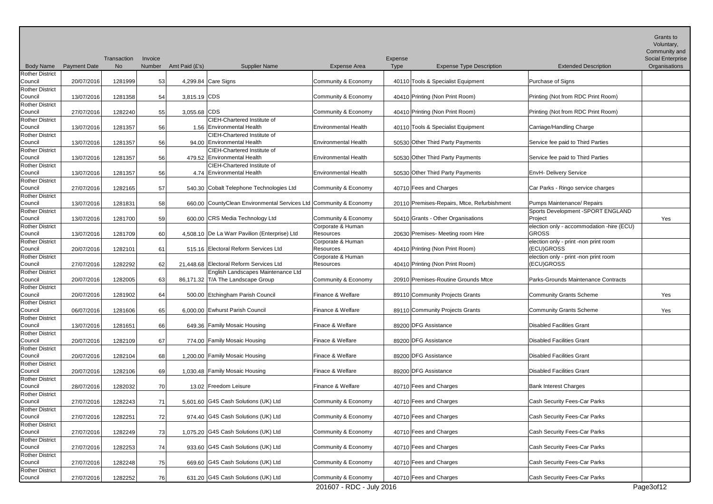|                                   |                     |                          |                          |                                                                   |                                |                                                           |                                                                  | Grants to<br>Voluntary,<br>Community and |
|-----------------------------------|---------------------|--------------------------|--------------------------|-------------------------------------------------------------------|--------------------------------|-----------------------------------------------------------|------------------------------------------------------------------|------------------------------------------|
| <b>Body Name</b>                  | <b>Payment Date</b> | Transaction<br><b>No</b> | Invoice<br><b>Number</b> | Amt Paid (£'s)<br><b>Supplier Name</b>                            | <b>Expense Area</b>            | Expense<br><b>Expense Type Description</b><br><b>Type</b> | <b>Extended Description</b>                                      | Social Enterprise<br>Organisations       |
| <b>Rother District</b>            |                     |                          |                          |                                                                   |                                |                                                           |                                                                  |                                          |
| Council                           | 20/07/2016          | 1281999                  | 53                       | 4,299.84 Care Signs                                               | Community & Economy            | 40110 Tools & Specialist Equipment                        | Purchase of Signs                                                |                                          |
| <b>Rother District</b>            |                     |                          |                          |                                                                   |                                |                                                           |                                                                  |                                          |
| Council<br><b>Rother District</b> | 13/07/2016          | 1281358                  | 54                       | 3,815.19 CDS                                                      | Community & Economy            | 40410 Printing (Non Print Room)                           | Printing (Not from RDC Print Room)                               |                                          |
| Council                           | 27/07/2016          | 1282240                  | 55                       | 3,055.68 CDS                                                      | Community & Economy            | 40410 Printing (Non Print Room)                           | Printing (Not from RDC Print Room)                               |                                          |
| <b>Rother District</b>            |                     |                          |                          | <b>CIEH-Chartered Institute of</b>                                |                                |                                                           |                                                                  |                                          |
| Council                           | 13/07/2016          | 1281357                  | 56                       | 1.56 Environmental Health                                         | <b>Environmental Health</b>    | 40110 Tools & Specialist Equipment                        | Carriage/Handling Charge                                         |                                          |
| <b>Rother District</b>            |                     |                          |                          | <b>CIEH-Chartered Institute of</b>                                |                                |                                                           |                                                                  |                                          |
| Council                           | 13/07/2016          | 1281357                  | 56                       | 94.00 Environmental Health                                        | <b>Environmental Health</b>    | 50530 Other Third Party Payments                          | Service fee paid to Third Parties                                |                                          |
| <b>Rother District</b><br>Council | 13/07/2016          | 1281357                  | 56                       | <b>CIEH-Chartered Institute of</b><br>479.52 Environmental Health | <b>Environmental Health</b>    | 50530 Other Third Party Payments                          | Service fee paid to Third Parties                                |                                          |
| <b>Rother District</b>            |                     |                          |                          | <b>CIEH-Chartered Institute of</b>                                |                                |                                                           |                                                                  |                                          |
| Council                           | 13/07/2016          | 1281357                  | 56                       | 4.74 Environmental Health                                         | <b>Environmental Health</b>    | 50530 Other Third Party Payments                          | <b>EnvH- Delivery Service</b>                                    |                                          |
| <b>Rother District</b>            |                     |                          |                          |                                                                   |                                |                                                           |                                                                  |                                          |
| Council                           | 27/07/2016          | 1282165                  | 57                       | 540.30 Cobalt Telephone Technologies Ltd                          | Community & Economy            | 40710 Fees and Charges                                    | Car Parks - Ringo service charges                                |                                          |
| <b>Rother District</b>            |                     |                          |                          |                                                                   |                                |                                                           |                                                                  |                                          |
| Council<br><b>Rother District</b> | 13/07/2016          | 1281831                  | 58                       | 660.00 CountyClean Environmental Services Ltd Community & Economy |                                | 20110 Premises-Repairs, Mtce, Refurbishment               | Pumps Maintenance/ Repairs<br>Sports Development - SPORT ENGLAND |                                          |
| Council                           | 13/07/2016          | 1281700                  | 59                       | 600.00 CRS Media Technology Ltd                                   | Community & Economy            | 50410 Grants - Other Organisations                        | Project                                                          | Yes                                      |
| <b>Rother District</b>            |                     |                          |                          |                                                                   | Corporate & Human              |                                                           | election only - accommodation -hire (ECU)                        |                                          |
| Council                           | 13/07/2016          | 1281709                  | 60                       | 4.508.10 De La Warr Pavilion (Enterprise) Ltd                     | Resources                      | 20630 Premises- Meeting room Hire                         | <b>GROSS</b>                                                     |                                          |
| <b>Rother District</b>            |                     |                          |                          |                                                                   | Corporate & Human              |                                                           | election only - print -non print room                            |                                          |
| Council                           | 20/07/2016          | 1282101                  | 61                       | 515.16 Electoral Reform Services Ltd                              | Resources                      | 40410 Printing (Non Print Room)                           | (ECU)GROSS                                                       |                                          |
| <b>Rother District</b><br>Council |                     | 1282292                  |                          | 21,448.68 Electoral Reform Services Ltd                           | Corporate & Human<br>Resources | 40410 Printing (Non Print Room)                           | election only - print -non print room<br>(ECU)GROSS              |                                          |
| <b>Rother District</b>            | 27/07/2016          |                          | 62                       | English Landscapes Maintenance Ltd                                |                                |                                                           |                                                                  |                                          |
| Council                           | 20/07/2016          | 1282005                  | 63                       | 86,171.32 T/A The Landscape Group                                 | Community & Economy            | 20910 Premises-Routine Grounds Mtce                       | Parks-Grounds Maintenance Contracts                              |                                          |
| <b>Rother District</b>            |                     |                          |                          |                                                                   |                                |                                                           |                                                                  |                                          |
| Council                           | 20/07/2016          | 1281902                  | 64                       | 500.00 Etchingham Parish Council                                  | Finance & Welfare              | 89110 Community Projects Grants                           | Community Grants Scheme                                          | Yes                                      |
| <b>Rother District</b>            |                     |                          |                          |                                                                   |                                |                                                           |                                                                  |                                          |
| Council<br><b>Rother District</b> | 06/07/2016          | 1281606                  | 65                       | 6,000.00 Ewhurst Parish Council                                   | Finance & Welfare              | 89110 Community Projects Grants                           | <b>Community Grants Scheme</b>                                   | Yes                                      |
| Council                           | 13/07/2016          | 1281651                  | 66                       | 649.36 Family Mosaic Housing                                      | Finace & Welfare               | 89200 DFG Assistance                                      | Disabled Facilities Grant                                        |                                          |
| <b>Rother District</b>            |                     |                          |                          |                                                                   |                                |                                                           |                                                                  |                                          |
| Council                           | 20/07/2016          | 1282109                  | 67                       | 774.00 Family Mosaic Housing                                      | Finace & Welfare               | 89200 DFG Assistance                                      | <b>Disabled Facilities Grant</b>                                 |                                          |
| <b>Rother District</b>            |                     |                          |                          |                                                                   |                                |                                                           |                                                                  |                                          |
| Council                           | 20/07/2016          | 1282104                  | 68                       | 1,200.00 Family Mosaic Housing                                    | Finace & Welfare               | 89200 DFG Assistance                                      | Disabled Facilities Grant                                        |                                          |
| <b>Rother District</b><br>Council | 20/07/2016          | 1282106                  | 69                       | 1,030.48 Family Mosaic Housing                                    | Finace & Welfare               | 89200 DFG Assistance                                      | Disabled Facilities Grant                                        |                                          |
| <b>Rother District</b>            |                     |                          |                          |                                                                   |                                |                                                           |                                                                  |                                          |
| Council                           | 28/07/2016          | 1282032                  | 70                       | 13.02 Freedom Leisure                                             | Finance & Welfare              | 40710 Fees and Charges                                    | <b>Bank Interest Charges</b>                                     |                                          |
| <b>Rother District</b>            |                     |                          |                          |                                                                   |                                |                                                           |                                                                  |                                          |
| Council                           | 27/07/2016          | 1282243                  | 71                       | 5,601.60 G4S Cash Solutions (UK) Ltd                              | Community & Economy            | 40710 Fees and Charges                                    | Cash Security Fees-Car Parks                                     |                                          |
| <b>Rother District</b>            |                     |                          |                          |                                                                   |                                |                                                           |                                                                  |                                          |
| Council<br><b>Rother District</b> | 27/07/2016          | 1282251                  | 72                       | 974.40 G4S Cash Solutions (UK) Ltd                                | Community & Economy            | 40710 Fees and Charges                                    | Cash Security Fees-Car Parks                                     |                                          |
| Council                           | 27/07/2016          | 1282249                  | 73                       | 1,075.20 G4S Cash Solutions (UK) Ltd                              | Community & Economy            | 40710 Fees and Charges                                    | Cash Security Fees-Car Parks                                     |                                          |
| <b>Rother District</b>            |                     |                          |                          |                                                                   |                                |                                                           |                                                                  |                                          |
| Council                           | 27/07/2016          | 1282253                  | 74                       | 933.60 G4S Cash Solutions (UK) Ltd                                | Community & Economy            | 40710 Fees and Charges                                    | Cash Security Fees-Car Parks                                     |                                          |
| <b>Rother District</b>            |                     |                          |                          |                                                                   |                                |                                                           |                                                                  |                                          |
| Council                           | 27/07/2016          | 1282248                  | 75                       | 669.60 G4S Cash Solutions (UK) Ltd                                | Community & Economy            | 40710 Fees and Charges                                    | Cash Security Fees-Car Parks                                     |                                          |
| <b>Rother District</b><br>Council | 27/07/2016          | 1282252                  | 76                       | 631.20 G4S Cash Solutions (UK) Ltd                                | Community & Economy            | 40710 Fees and Charges                                    | Cash Security Fees-Car Parks                                     |                                          |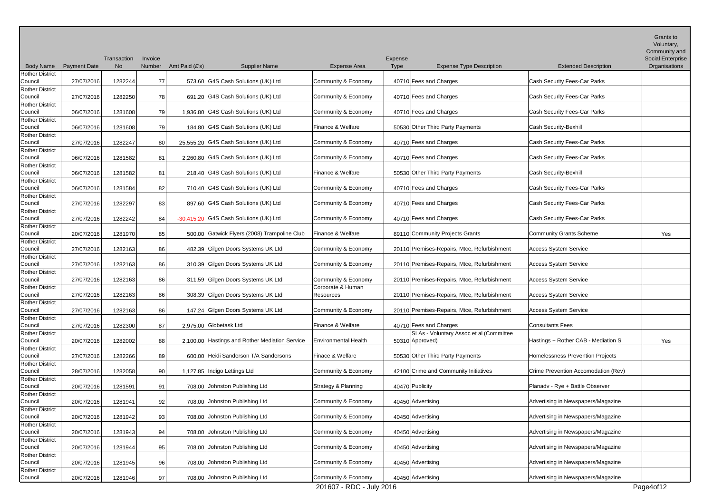|                                                             |                     |                          |                   |                |                                                |                                                 |                        |                                             |                                     | Grants to<br>Voluntary,<br>Community and |
|-------------------------------------------------------------|---------------------|--------------------------|-------------------|----------------|------------------------------------------------|-------------------------------------------------|------------------------|---------------------------------------------|-------------------------------------|------------------------------------------|
| <b>Body Name</b>                                            | <b>Payment Date</b> | Transaction<br><b>No</b> | Invoice<br>Number | Amt Paid (£'s) | <b>Supplier Name</b>                           | <b>Expense Area</b>                             | Expense<br><b>Type</b> | <b>Expense Type Description</b>             | <b>Extended Description</b>         | Social Enterprise<br>Organisations       |
| <b>Rother District</b><br>Council                           | 27/07/2016          | 1282244                  | 77                |                | 573.60 G4S Cash Solutions (UK) Ltd             | Community & Economy                             |                        | 40710 Fees and Charges                      | Cash Security Fees-Car Parks        |                                          |
| <b>Rother District</b><br>Council                           | 27/07/2016          | 1282250                  | 78                |                | 691.20 G4S Cash Solutions (UK) Ltd             | Community & Economy                             |                        | 40710 Fees and Charges                      | Cash Security Fees-Car Parks        |                                          |
| <b>Rother District</b>                                      |                     |                          |                   |                | 1,936.80 G4S Cash Solutions (UK) Ltd           | Community & Economy                             |                        |                                             | Cash Security Fees-Car Parks        |                                          |
| Council<br><b>Rother District</b>                           | 06/07/2016          | 1281608                  | 79                |                |                                                |                                                 |                        | 40710 Fees and Charges                      |                                     |                                          |
| Council                                                     | 06/07/2016          | 1281608                  | 79                |                | 184.80 G4S Cash Solutions (UK) Ltd             | Finance & Welfare                               |                        | 50530 Other Third Party Payments            | <b>Cash Security-Bexhill</b>        |                                          |
| <b>Rother District</b><br>Council                           | 27/07/2016          | 1282247                  | 80                |                | 25,555.20 G4S Cash Solutions (UK) Ltd          | Community & Economy                             |                        | 40710 Fees and Charges                      | Cash Security Fees-Car Parks        |                                          |
| Rother District<br>Council                                  | 06/07/2016          | 1281582                  | 81                |                | 2,260.80 G4S Cash Solutions (UK) Ltd           | Community & Economy                             |                        | 40710 Fees and Charges                      | Cash Security Fees-Car Parks        |                                          |
| <b>Rother District</b><br>Council                           | 06/07/2016          | 1281582                  | 81                |                | 218.40 G4S Cash Solutions (UK) Ltd             | Finance & Welfare                               |                        | 50530 Other Third Party Payments            | Cash Security-Bexhill               |                                          |
| <b>Rother District</b>                                      |                     |                          |                   |                |                                                |                                                 |                        |                                             |                                     |                                          |
| Council                                                     | 06/07/2016          | 1281584                  | 82                |                | 710.40 G4S Cash Solutions (UK) Ltd             | Community & Economy                             |                        | 40710 Fees and Charges                      | Cash Security Fees-Car Parks        |                                          |
| <b>Rother District</b><br>Council<br><b>Rother District</b> | 27/07/2016          | 1282297                  | 83                |                | 897.60 G4S Cash Solutions (UK) Ltd             | Community & Economy                             |                        | 40710 Fees and Charges                      | Cash Security Fees-Car Parks        |                                          |
| Council                                                     | 27/07/2016          | 1282242                  | 84                |                | -30,415.20 G4S Cash Solutions (UK) Ltd         | Community & Economy                             |                        | 40710 Fees and Charges                      | Cash Security Fees-Car Parks        |                                          |
| <b>Rother District</b><br>Council                           | 20/07/2016          | 1281970                  | 85                |                | 500.00 Gatwick Flyers (2008) Trampoline Club   | Finance & Welfare                               |                        | 89110 Community Projects Grants             | Community Grants Scheme             | Yes                                      |
| <b>Rother District</b><br>Council                           | 27/07/2016          | 1282163                  | 86                |                | 482.39 Gilgen Doors Systems UK Ltd             | Community & Economy                             |                        | 20110 Premises-Repairs, Mtce, Refurbishment | <b>Access System Service</b>        |                                          |
| <b>Rother District</b>                                      |                     |                          |                   |                |                                                |                                                 |                        |                                             |                                     |                                          |
| Council<br>Rother District                                  | 27/07/2016          | 1282163                  | 86                |                | 310.39 Gilgen Doors Systems UK Ltd             | Community & Economy                             |                        | 20110 Premises-Repairs, Mtce, Refurbishment | Access System Service               |                                          |
| Council                                                     | 27/07/2016          | 1282163                  | 86                |                | 311.59 Gilgen Doors Systems UK Ltd             | Community & Economy                             |                        | 20110 Premises-Repairs, Mtce, Refurbishment | <b>Access System Service</b>        |                                          |
| <b>Rother District</b><br>Council                           | 27/07/2016          | 1282163                  | 86                |                | 308.39 Gilgen Doors Systems UK Ltd             | Corporate & Human<br>Resources                  |                        | 20110 Premises-Repairs, Mtce, Refurbishment | <b>Access System Service</b>        |                                          |
| <b>Rother District</b>                                      |                     |                          |                   |                |                                                |                                                 |                        |                                             |                                     |                                          |
| Council                                                     | 27/07/2016          | 1282163                  | 86                |                | 147.24 Gilgen Doors Systems UK Ltd             | Community & Economy                             |                        | 20110 Premises-Repairs, Mtce, Refurbishment | <b>Access System Service</b>        |                                          |
| <b>Rother District</b><br>Council                           | 27/07/2016          | 1282300                  | 87                |                | 2,975.00 Globetask Ltd                         | Finance & Welfare                               |                        | 40710 Fees and Charges                      | Consultants Fees                    |                                          |
| <b>Rother District</b><br>Council                           |                     |                          |                   |                | 2,100.00 Hastings and Rother Mediation Service | <b>Environmental Health</b>                     |                        | SLAs - Voluntary Assoc et al (Committee     | Hastings + Rother CAB - Mediation S |                                          |
| <b>Rother District</b>                                      | 20/07/2016          | 1282002                  | 88                |                |                                                |                                                 |                        | 50310 Approved)                             |                                     | Yes                                      |
| Council                                                     | 27/07/2016          | 1282266                  | 89                |                | 600.00 Heidi Sanderson T/A Sandersons          | Finace & Welfare                                |                        | 50530 Other Third Party Payments            | Homelessness Prevention Projects    |                                          |
| <b>Rother District</b><br>Council                           | 28/07/2016          | 1282058                  | 90                |                | 1,127.85   Indigo Lettings Ltd                 | Community & Economy                             |                        | 42100 Crime and Community Initiatives       | Crime Prevention Accomodation (Rev) |                                          |
| <b>Rother District</b><br>Council                           | 20/07/2016          | 1281591                  | 91                |                | 708.00 Johnston Publishing Ltd                 | Strategy & Planning                             |                        | 40470 Publicity                             | Planadv - Rye + Battle Observer     |                                          |
| <b>Rother District</b>                                      |                     |                          |                   |                |                                                |                                                 |                        |                                             |                                     |                                          |
| Council<br><b>Rother District</b>                           | 20/07/2016          | 1281941                  | 92                |                | 708.00 Johnston Publishing Ltd                 | Community & Economy                             |                        | 40450 Advertising                           | Advertising in Newspapers/Magazine  |                                          |
| Council                                                     | 20/07/2016          | 1281942                  | 93                |                | 708.00 Johnston Publishing Ltd                 | Community & Economy                             |                        | 40450 Advertising                           | Advertising in Newspapers/Magazine  |                                          |
| <b>Rother District</b><br>Council                           | 20/07/2016          | 1281943                  | 94                |                | 708.00 Johnston Publishing Ltd                 | Community & Economy                             |                        | 40450 Advertising                           | Advertising in Newspapers/Magazine  |                                          |
| <b>Rother District</b><br>Council                           | 20/07/2016          | 1281944                  | 95                |                | 708.00 Johnston Publishing Ltd                 | Community & Economy                             |                        | 40450 Advertising                           | Advertising in Newspapers/Magazine  |                                          |
| <b>Rother District</b><br>Council                           | 20/07/2016          | 1281945                  | 96                |                | 708.00 Johnston Publishing Ltd                 | Community & Economy                             |                        | 40450 Advertising                           | Advertising in Newspapers/Magazine  |                                          |
| Rother District                                             |                     |                          |                   |                |                                                |                                                 |                        |                                             |                                     |                                          |
| Council                                                     | 20/07/2016          | 1281946                  | 97                |                | 708.00 Johnston Publishing Ltd                 | Community & Economy<br>201607 - RDC - July 2016 |                        | 40450 Advertising                           | Advertising in Newspapers/Magazine  | Page4of12                                |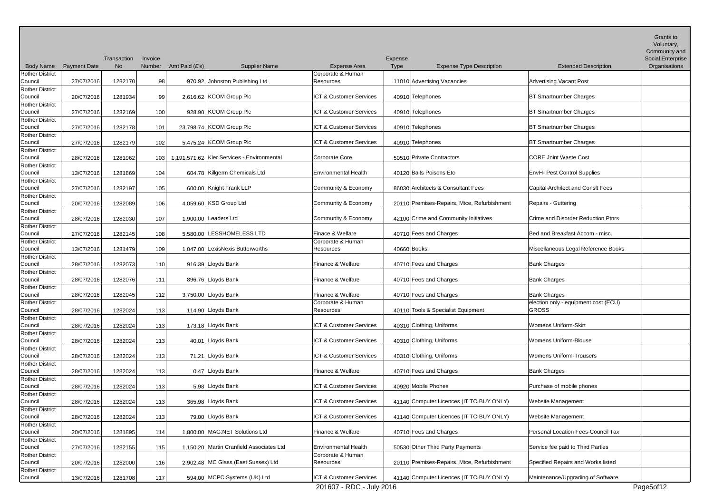|                                   |                     |                   |                   |                |                                            |                             |                        |                                             |                                      | Grants to<br>Voluntary,<br>Community and |
|-----------------------------------|---------------------|-------------------|-------------------|----------------|--------------------------------------------|-----------------------------|------------------------|---------------------------------------------|--------------------------------------|------------------------------------------|
| <b>Body Name</b>                  | <b>Payment Date</b> | Transaction<br>No | Invoice<br>Number | Amt Paid (£'s) | <b>Supplier Name</b>                       | <b>Expense Area</b>         | Expense<br><b>Type</b> | <b>Expense Type Description</b>             | <b>Extended Description</b>          | Social Enterprise<br>Organisations       |
| <b>Rother District</b>            |                     |                   |                   |                |                                            | Corporate & Human           |                        |                                             |                                      |                                          |
| Council                           | 27/07/2016          | 1282170           | 98                |                | 970.92 Johnston Publishing Ltd             | Resources                   |                        | 11010 Advertising Vacancies                 | <b>Advertising Vacant Post</b>       |                                          |
| <b>Rother District</b>            |                     |                   |                   |                |                                            |                             |                        |                                             |                                      |                                          |
| Council                           | 20/07/2016          | 1281934           | 99                |                | 2,616.62 KCOM Group Plc                    | ICT & Customer Services     |                        | 40910 Telephones                            | <b>BT Smartnumber Charges</b>        |                                          |
| <b>Rother District</b><br>Council | 27/07/2016          | 1282169           | 100               |                | 928.90 KCOM Group Plc                      | ICT & Customer Services     |                        | 40910 Telephones                            | <b>BT Smartnumber Charges</b>        |                                          |
| <b>Rother District</b>            |                     |                   |                   |                |                                            |                             |                        |                                             |                                      |                                          |
| Council                           | 27/07/2016          | 1282178           | 101               |                | 23,798.74 KCOM Group Plc                   | ICT & Customer Services     |                        | 40910 Telephones                            | <b>BT Smartnumber Charges</b>        |                                          |
| <b>Rother District</b>            |                     |                   |                   |                |                                            |                             |                        |                                             |                                      |                                          |
| Council<br><b>Rother District</b> | 27/07/2016          | 1282179           | 102               |                | 5,475.24 KCOM Group Plc                    | ICT & Customer Services     |                        | 40910 Telephones                            | <b>BT Smartnumber Charges</b>        |                                          |
| Council                           | 28/07/2016          | 1281962           | 103               |                | 1,191,571.62 Kier Services - Environmental | <b>Corporate Core</b>       |                        | 50510 Private Contractors                   | <b>CORE Joint Waste Cost</b>         |                                          |
| <b>Rother District</b>            |                     |                   |                   |                |                                            |                             |                        |                                             |                                      |                                          |
| Council                           | 13/07/2016          | 1281869           | 104               |                | 604.78 Killgerm Chemicals Ltd              | <b>Environmental Health</b> |                        | 40120 Baits Poisons Etc                     | <b>EnvH- Pest Control Supplies</b>   |                                          |
| <b>Rother District</b>            |                     |                   |                   |                |                                            |                             |                        |                                             |                                      |                                          |
| Council<br><b>Rother District</b> | 27/07/2016          | 1282197           | 105               |                | 600.00 Knight Frank LLP                    | Community & Economy         |                        | 86030 Architects & Consultant Fees          | Capital-Architect and Conslt Fees    |                                          |
| Council                           | 20/07/2016          | 1282089           | 106               |                | 4,059.60 KSD Group Ltd                     | Community & Economy         |                        | 20110 Premises-Repairs, Mtce, Refurbishment | Repairs - Guttering                  |                                          |
| <b>Rother District</b>            |                     |                   |                   |                |                                            |                             |                        |                                             |                                      |                                          |
| Council                           | 28/07/2016          | 1282030           | 107               |                | 1,900.00 Leaders Ltd                       | Community & Economy         |                        | 42100 Crime and Community Initiatives       | Crime and Disorder Reduction Ptnrs   |                                          |
| <b>Rother District</b><br>Council | 27/07/2016          | 1282145           | 108               |                | 5,580.00 LESSHOMELESS LTD                  | Finace & Welfare            |                        | 40710 Fees and Charges                      | Bed and Breakfast Accom - misc.      |                                          |
| <b>Rother District</b>            |                     |                   |                   |                |                                            | Corporate & Human           |                        |                                             |                                      |                                          |
| Council                           | 13/07/2016          | 1281479           | 109               |                | 1.047.00 LexisNexis Butterworths           | Resources                   | 40660 Books            |                                             | Miscellaneous Legal Reference Books  |                                          |
| <b>Rother District</b>            |                     |                   |                   |                |                                            |                             |                        |                                             |                                      |                                          |
| Council                           | 28/07/2016          | 1282073           | 110               |                | 916.39 Lloyds Bank                         | Finance & Welfare           |                        | 40710 Fees and Charges                      | <b>Bank Charges</b>                  |                                          |
| <b>Rother District</b><br>Council | 28/07/2016          | 1282076           | 111               |                | 896.76 Lloyds Bank                         | Finance & Welfare           |                        | 40710 Fees and Charges                      | <b>Bank Charges</b>                  |                                          |
| <b>Rother District</b>            |                     |                   |                   |                |                                            |                             |                        |                                             |                                      |                                          |
| Council                           | 28/07/2016          | 1282045           | 112               |                | 3,750.00 Lloyds Bank                       | Finance & Welfare           |                        | 40710 Fees and Charges                      | <b>Bank Charges</b>                  |                                          |
| <b>Rother District</b>            |                     |                   |                   |                |                                            | Corporate & Human           |                        |                                             | election only - equipment cost (ECU) |                                          |
| Council<br><b>Rother District</b> | 28/07/2016          | 1282024           | 113               |                | 114.90 Lloyds Bank                         | Resources                   |                        | 40110 Tools & Specialist Equipment          | <b>GROSS</b>                         |                                          |
| Council                           | 28/07/2016          | 1282024           | 113               |                | 173.18 Lloyds Bank                         | ICT & Customer Services     |                        | 40310 Clothing, Uniforms                    | <b>Womens Uniform-Skirt</b>          |                                          |
| <b>Rother District</b>            |                     |                   |                   |                |                                            |                             |                        |                                             |                                      |                                          |
| Council                           | 28/07/2016          | 1282024           | 113               |                | 40.01 Lloyds Bank                          | ICT & Customer Services     |                        | 40310 Clothing, Uniforms                    | Womens Uniform-Blouse                |                                          |
| <b>Rother District</b><br>Council |                     |                   |                   |                | 71.21 Lloyds Bank                          | ICT & Customer Services     |                        | 40310 Clothing, Uniforms                    | Womens Uniform-Trousers              |                                          |
| <b>Rother District</b>            | 28/07/2016          | 1282024           | 113               |                |                                            |                             |                        |                                             |                                      |                                          |
| Council                           | 28/07/2016          | 1282024           | 113               |                | 0.47 Lloyds Bank                           | Finance & Welfare           |                        | 40710 Fees and Charges                      | <b>Bank Charges</b>                  |                                          |
| <b>Rother District</b>            |                     |                   |                   |                |                                            |                             |                        |                                             |                                      |                                          |
| Council                           | 28/07/2016          | 1282024           | 113               |                | 5.98 Lloyds Bank                           | ICT & Customer Services     |                        | 40920 Mobile Phones                         | Purchase of mobile phones            |                                          |
| <b>Rother District</b><br>Council | 28/07/2016          | 1282024           | 113               |                | 365.98 Lloyds Bank                         | ICT & Customer Services     |                        | 41140 Computer Licences (IT TO BUY ONLY)    | <b>Website Management</b>            |                                          |
| <b>Rother District</b>            |                     |                   |                   |                |                                            |                             |                        |                                             |                                      |                                          |
| Council                           | 28/07/2016          | 1282024           | 113               |                | 79.00 Lloyds Bank                          | ICT & Customer Services     |                        | 41140 Computer Licences (IT TO BUY ONLY)    | <b>Website Management</b>            |                                          |
| <b>Rother District</b>            |                     |                   |                   |                |                                            |                             |                        |                                             |                                      |                                          |
| Council                           | 20/07/2016          | 1281895           | 114               |                | 1,800.00 MAG:NET Solutions Ltd             | Finance & Welfare           |                        | 40710 Fees and Charges                      | Personal Location Fees-Council Tax   |                                          |
| <b>Rother District</b><br>Council | 27/07/2016          | 1282155           | 115               |                | 1,150.20 Martin Cranfield Associates Ltd   | <b>Environmental Health</b> |                        | 50530 Other Third Party Payments            | Service fee paid to Third Parties    |                                          |
| <b>Rother District</b>            |                     |                   |                   |                |                                            | Corporate & Human           |                        |                                             |                                      |                                          |
| Council                           | 20/07/2016          | 1282000           | 116               |                | 2,902.48 MC Glass (East Sussex) Ltd        | Resources                   |                        | 20110 Premises-Repairs, Mtce, Refurbishment | Specified Repairs and Works listed   |                                          |
| Rother District                   |                     |                   |                   |                |                                            |                             |                        |                                             |                                      |                                          |
| Council                           | 13/07/2016          | 1281708           | 117               |                | 594.00 MCPC Systems (UK) Ltd               | ICT & Customer Services     |                        | 41140 Computer Licences (IT TO BUY ONLY)    | Maintenance/Upgrading of Software    |                                          |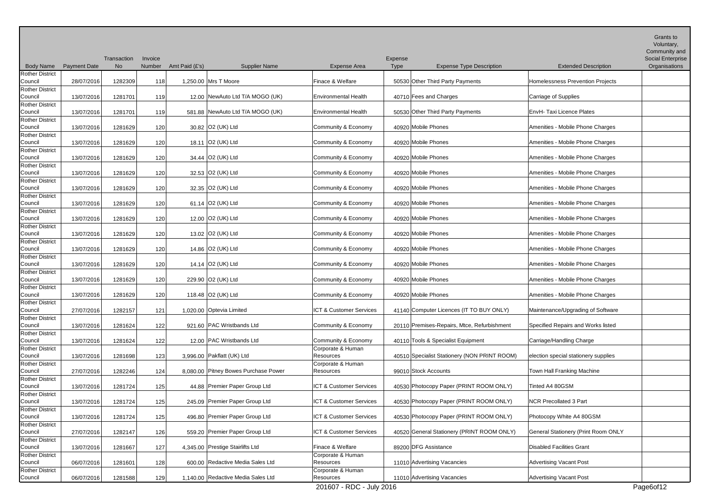|                                   |                     |                          |                   |                |                                      |                                |                 |                                              |                                            | Grants to<br>Voluntary,<br>Community and |
|-----------------------------------|---------------------|--------------------------|-------------------|----------------|--------------------------------------|--------------------------------|-----------------|----------------------------------------------|--------------------------------------------|------------------------------------------|
| <b>Body Name</b>                  | <b>Payment Date</b> | Transaction<br><b>No</b> | Invoice<br>Number | Amt Paid (£'s) | <b>Supplier Name</b>                 | <b>Expense Area</b>            | Expense<br>Type | <b>Expense Type Description</b>              | <b>Extended Description</b>                | Social Enterprise<br>Organisations       |
| <b>Rother District</b>            |                     |                          |                   |                |                                      |                                |                 |                                              |                                            |                                          |
| Council                           | 28/07/2016          | 1282309                  | 118               |                | 1,250.00 Mrs T Moore                 | Finace & Welfare               |                 | 50530 Other Third Party Payments             | Homelessness Prevention Projects           |                                          |
| <b>Rother District</b>            |                     |                          |                   |                |                                      |                                |                 |                                              |                                            |                                          |
| Council                           | 13/07/2016          | 1281701                  | 119               |                | 12.00 NewAuto Ltd T/A MOGO (UK)      | <b>Environmental Health</b>    |                 | 40710 Fees and Charges                       | Carriage of Supplies                       |                                          |
| <b>Rother District</b><br>Council | 13/07/2016          | 1281701                  | 119               |                | 581.88 NewAuto Ltd T/A MOGO (UK)     | <b>Environmental Health</b>    |                 | 50530 Other Third Party Payments             | EnvH-Taxi Licence Plates                   |                                          |
| <b>Rother District</b>            |                     |                          |                   |                |                                      |                                |                 |                                              |                                            |                                          |
| Council                           | 13/07/2016          | 1281629                  | 120               |                | 30.82 O2 (UK) Ltd                    | Community & Economy            |                 | 40920 Mobile Phones                          | Amenities - Mobile Phone Charges           |                                          |
| <b>Rother District</b>            |                     |                          |                   |                |                                      |                                |                 |                                              |                                            |                                          |
| Council                           | 13/07/2016          | 1281629                  | 120               |                | 18.11 O2 (UK) Ltd                    | Community & Economy            |                 | 40920 Mobile Phones                          | Amenities - Mobile Phone Charges           |                                          |
| <b>Rother District</b><br>Council |                     |                          |                   |                |                                      |                                |                 |                                              |                                            |                                          |
| <b>Rother District</b>            | 13/07/2016          | 1281629                  | 120               |                | 34.44 O2 (UK) Ltd                    | Community & Economy            |                 | 40920 Mobile Phones                          | Amenities - Mobile Phone Charges           |                                          |
| Council                           | 13/07/2016          | 1281629                  | 120               |                | 32.53 O2 (UK) Ltd                    | Community & Economy            |                 | 40920 Mobile Phones                          | Amenities - Mobile Phone Charges           |                                          |
| <b>Rother District</b>            |                     |                          |                   |                |                                      |                                |                 |                                              |                                            |                                          |
| Council                           | 13/07/2016          | 1281629                  | 120               |                | 32.35 O2 (UK) Ltd                    | Community & Economy            |                 | 40920 Mobile Phones                          | Amenities - Mobile Phone Charges           |                                          |
| <b>Rother District</b>            |                     |                          |                   |                |                                      |                                |                 |                                              |                                            |                                          |
| Council<br><b>Rother District</b> | 13/07/2016          | 1281629                  | 120               |                | 61.14 O2 (UK) Ltd                    | Community & Economy            |                 | 40920 Mobile Phones                          | Amenities - Mobile Phone Charges           |                                          |
| Council                           | 13/07/2016          | 1281629                  | 120               |                | 12.00 O2 (UK) Ltd                    | Community & Economy            |                 | 40920 Mobile Phones                          | Amenities - Mobile Phone Charges           |                                          |
| <b>Rother District</b>            |                     |                          |                   |                |                                      |                                |                 |                                              |                                            |                                          |
| Council                           | 13/07/2016          | 1281629                  | 120               |                | 13.02 O2 (UK) Ltd                    | Community & Economy            |                 | 40920 Mobile Phones                          | Amenities - Mobile Phone Charges           |                                          |
| <b>Rother District</b>            |                     |                          |                   |                |                                      |                                |                 |                                              |                                            |                                          |
| Council                           | 13/07/2016          | 1281629                  | 120               |                | 14.86 O2 (UK) Ltd                    | Community & Economy            |                 | 40920 Mobile Phones                          | Amenities - Mobile Phone Charges           |                                          |
| Rother District<br>Council        | 13/07/2016          | 1281629                  | 120               |                | 14.14 O2 (UK) Ltd                    | Community & Economy            |                 | 40920 Mobile Phones                          | Amenities - Mobile Phone Charges           |                                          |
| <b>Rother District</b>            |                     |                          |                   |                |                                      |                                |                 |                                              |                                            |                                          |
| Council                           | 13/07/2016          | 1281629                  | 120               |                | 229.90 O2 (UK) Ltd                   | Community & Economy            |                 | 40920 Mobile Phones                          | Amenities - Mobile Phone Charges           |                                          |
| <b>Rother District</b>            |                     |                          |                   |                |                                      |                                |                 |                                              |                                            |                                          |
| Council                           | 13/07/2016          | 1281629                  | 120               |                | 118.48 O2 (UK) Ltd                   | Community & Economy            |                 | 40920 Mobile Phones                          | Amenities - Mobile Phone Charges           |                                          |
| <b>Rother District</b><br>Council | 27/07/2016          | 1282157                  | 121               |                | 1,020.00 Optevia Limited             | ICT & Customer Services        |                 | 41140 Computer Licences (IT TO BUY ONLY)     | Maintenance/Upgrading of Software          |                                          |
| <b>Rother District</b>            |                     |                          |                   |                |                                      |                                |                 |                                              |                                            |                                          |
| Council                           | 13/07/2016          | 1281624                  | 122               |                | 921.60 PAC Wristbands Ltd            | Community & Economy            |                 | 20110 Premises-Repairs, Mtce, Refurbishment  | Specified Repairs and Works listed         |                                          |
| <b>Rother District</b>            |                     |                          |                   |                |                                      |                                |                 |                                              |                                            |                                          |
| Council                           | 13/07/2016          | 1281624                  | 122               |                | 12.00 PAC Wristbands Ltd             | Community & Economy            |                 | 40110 Tools & Specialist Equipment           | Carriage/Handling Charge                   |                                          |
| <b>Rother District</b><br>Council | 13/07/2016          | 1281698                  | 123               |                | 3,996.00 Pakflatt (UK) Ltd           | Corporate & Human<br>Resources |                 | 40510 Specialist Stationery (NON PRINT ROOM) | election special stationery supplies       |                                          |
| <b>Rother District</b>            |                     |                          |                   |                |                                      | Corporate & Human              |                 |                                              |                                            |                                          |
| Council                           | 27/07/2016          | 1282246                  | 124               |                | 8,080.00 Pitney Bowes Purchase Power | Resources                      |                 | 99010 Stock Accounts                         | Town Hall Franking Machine                 |                                          |
| <b>Rother District</b>            |                     |                          |                   |                |                                      |                                |                 |                                              |                                            |                                          |
| Council                           | 13/07/2016          | 1281724                  | 125               |                | 44.88 Premier Paper Group Ltd        | ICT & Customer Services        |                 | 40530 Photocopy Paper (PRINT ROOM ONLY)      | Tinted A4 80GSM                            |                                          |
| <b>Rother District</b><br>Council | 13/07/2016          | 1281724                  |                   |                | 245.09 Premier Paper Group Ltd       | ICT & Customer Services        |                 | 40530 Photocopy Paper (PRINT ROOM ONLY)      | <b>NCR Precollated 3 Part</b>              |                                          |
| <b>Rother District</b>            |                     |                          | 125               |                |                                      |                                |                 |                                              |                                            |                                          |
| Council                           | 13/07/2016          | 1281724                  | 125               |                | 496.80 Premier Paper Group Ltd       | ICT & Customer Services        |                 | 40530 Photocopy Paper (PRINT ROOM ONLY)      | Photocopy White A4 80GSM                   |                                          |
| <b>Rother District</b>            |                     |                          |                   |                |                                      |                                |                 |                                              |                                            |                                          |
| Council                           | 27/07/2016          | 1282147                  | 126               |                | 559.20 Premier Paper Group Ltd       | ICT & Customer Services        |                 | 40520 General Stationery (PRINT ROOM ONLY)   | <b>General Stationery (Print Room ONLY</b> |                                          |
| <b>Rother District</b>            |                     |                          |                   |                |                                      | Finace & Welfare               |                 | 89200 DFG Assistance                         |                                            |                                          |
| Council<br><b>Rother District</b> | 13/07/2016          | 1281667                  | 127               |                | 4,345.00 Prestige Stairlifts Ltd     | Corporate & Human              |                 |                                              | <b>Disabled Facilities Grant</b>           |                                          |
| Council                           | 06/07/2016          | 1281601                  | 128               |                | 600.00 Redactive Media Sales Ltd     | Resources                      |                 | 11010 Advertising Vacancies                  | Advertising Vacant Post                    |                                          |
| <b>Rother District</b>            |                     |                          |                   |                |                                      | Corporate & Human              |                 |                                              |                                            |                                          |
| Council                           | 06/07/2016          | 1281588                  | 129               |                | 1,140.00 Redactive Media Sales Ltd   | Resources                      |                 | 11010 Advertising Vacancies                  | Advertising Vacant Post                    |                                          |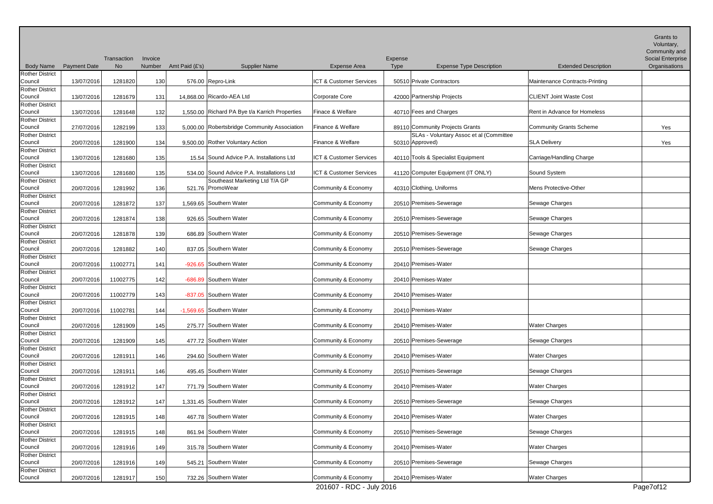|                                   |                     |                          |                   |                |                                                                              |                                    |                 |                                         |                                | Grants to<br>Voluntary,            |
|-----------------------------------|---------------------|--------------------------|-------------------|----------------|------------------------------------------------------------------------------|------------------------------------|-----------------|-----------------------------------------|--------------------------------|------------------------------------|
|                                   |                     |                          |                   |                |                                                                              |                                    |                 |                                         |                                | Community and                      |
| <b>Body Name</b>                  | <b>Payment Date</b> | Transaction<br><b>No</b> | Invoice<br>Number | Amt Paid (£'s) | <b>Supplier Name</b>                                                         | <b>Expense Area</b>                | Expense<br>Type | <b>Expense Type Description</b>         | <b>Extended Description</b>    | Social Enterprise<br>Organisations |
| <b>Rother District</b>            |                     |                          |                   |                |                                                                              |                                    |                 |                                         |                                |                                    |
| Council                           | 13/07/2016          | 1281820                  | 130               |                | 576.00 Repro-Link                                                            | ICT & Customer Services            |                 | 50510 Private Contractors               | Maintenance Contracts-Printing |                                    |
| <b>Rother District</b>            |                     |                          |                   |                |                                                                              |                                    |                 |                                         |                                |                                    |
| Council                           | 13/07/2016          | 1281679                  | 131               |                | 14,868.00 Ricardo-AEA Ltd                                                    | Corporate Core                     |                 | 42000 Partnership Projects              | <b>CLIENT Joint Waste Cost</b> |                                    |
| <b>Rother District</b>            |                     |                          |                   |                |                                                                              | Finace & Welfare                   |                 |                                         |                                |                                    |
| Council<br><b>Rother District</b> | 13/07/2016          | 1281648                  | 132               |                | 1,550.00 Richard PA Bye t/a Karrich Properties                               |                                    |                 | 40710 Fees and Charges                  | Rent in Advance for Homeless   |                                    |
| Council                           | 27/07/2016          | 1282199                  | 133               |                | 5.000.00 Robertsbridge Community Association                                 | Finance & Welfare                  |                 | 89110 Community Projects Grants         | <b>Community Grants Scheme</b> | Yes                                |
| <b>Rother District</b>            |                     |                          |                   |                |                                                                              |                                    |                 | SLAs - Voluntary Assoc et al (Committee |                                |                                    |
| Council                           | 20/07/2016          | 1281900                  | 134               |                | 9,500.00 Rother Voluntary Action                                             | Finance & Welfare                  |                 | 50310 Approved)                         | <b>SLA Delivery</b>            | Yes                                |
| <b>Rother District</b>            |                     |                          |                   |                |                                                                              |                                    |                 |                                         |                                |                                    |
| Council                           | 13/07/2016          | 1281680                  | 135               |                | 15.54 Sound Advice P.A. Installations Ltd                                    | ICT & Customer Services            |                 | 40110 Tools & Specialist Equipment      | Carriage/Handling Charge       |                                    |
| <b>Rother District</b>            |                     |                          |                   |                |                                                                              | <b>ICT &amp; Customer Services</b> |                 |                                         |                                |                                    |
| Council<br><b>Rother District</b> | 13/07/2016          | 1281680                  | 135               |                | 534.00 Sound Advice P.A. Installations Ltd<br>Southeast Marketing Ltd T/A GP |                                    |                 | 41120 Computer Equipment (IT ONLY)      | Sound System                   |                                    |
| Council                           | 20/07/2016          | 1281992                  | 136               |                | 521.76 PromoWear                                                             | Community & Economy                |                 | 40310 Clothing, Uniforms                | Mens Protective-Other          |                                    |
| <b>Rother District</b>            |                     |                          |                   |                |                                                                              |                                    |                 |                                         |                                |                                    |
| Council                           | 20/07/2016          | 1281872                  | 137               |                | 1,569.65 Southern Water                                                      | Community & Economy                |                 | 20510 Premises-Sewerage                 | Sewage Charges                 |                                    |
| <b>Rother District</b>            |                     |                          |                   |                |                                                                              |                                    |                 |                                         |                                |                                    |
| Council                           | 20/07/2016          | 1281874                  | 138               |                | 926.65 Southern Water                                                        | Community & Economy                |                 | 20510 Premises-Sewerage                 | Sewage Charges                 |                                    |
| <b>Rother District</b><br>Council |                     |                          |                   |                | 686.89 Southern Water                                                        | Community & Economy                |                 |                                         |                                |                                    |
| <b>Rother District</b>            | 20/07/2016          | 1281878                  | 139               |                |                                                                              |                                    |                 | 20510 Premises-Sewerage                 | Sewage Charges                 |                                    |
| Council                           | 20/07/2016          | 1281882                  | 140               |                | 837.05 Southern Water                                                        | Community & Economy                |                 | 20510 Premises-Sewerage                 | Sewage Charges                 |                                    |
| <b>Rother District</b>            |                     |                          |                   |                |                                                                              |                                    |                 |                                         |                                |                                    |
| Council                           | 20/07/2016          | 11002771                 | 141               |                | -926.65 Southern Water                                                       | Community & Economy                |                 | 20410 Premises-Water                    |                                |                                    |
| <b>Rother District</b>            |                     |                          |                   |                |                                                                              |                                    |                 |                                         |                                |                                    |
| Council<br><b>Rother District</b> | 20/07/2016          | 11002775                 | 142               |                | -686.89 Southern Water                                                       | Community & Economy                |                 | 20410 Premises-Water                    |                                |                                    |
| Council                           | 20/07/2016          | 11002779                 | 143               |                | -837.05 Southern Water                                                       | Community & Economy                |                 | 20410 Premises-Water                    |                                |                                    |
| <b>Rother District</b>            |                     |                          |                   |                |                                                                              |                                    |                 |                                         |                                |                                    |
| Council                           | 20/07/2016          | 11002781                 | 144               |                | -1,569.65 Southern Water                                                     | Community & Economy                |                 | 20410 Premises-Water                    |                                |                                    |
| <b>Rother District</b>            |                     |                          |                   |                |                                                                              |                                    |                 |                                         |                                |                                    |
| Council                           | 20/07/2016          | 1281909                  | 145               |                | 275.77 Southern Water                                                        | Community & Economy                |                 | 20410 Premises-Water                    | <b>Water Charges</b>           |                                    |
| <b>Rother District</b>            |                     |                          |                   |                | 477.72 Southern Water                                                        |                                    |                 | 20510 Premises-Sewerage                 |                                |                                    |
| Council<br><b>Rother District</b> | 20/07/2016          | 1281909                  | 145               |                |                                                                              | Community & Economy                |                 |                                         | Sewage Charges                 |                                    |
| Council                           | 20/07/2016          | 1281911                  | 146               |                | 294.60 Southern Water                                                        | Community & Economy                |                 | 20410 Premises-Water                    | <b>Water Charges</b>           |                                    |
| <b>Rother District</b>            |                     |                          |                   |                |                                                                              |                                    |                 |                                         |                                |                                    |
| Council                           | 20/07/2016          | 1281911                  | 146               |                | 495.45 Southern Water                                                        | Community & Economy                |                 | 20510 Premises-Sewerage                 | Sewage Charges                 |                                    |
| <b>Rother District</b>            |                     |                          |                   |                |                                                                              |                                    |                 |                                         |                                |                                    |
| Council                           | 20/07/2016          | 1281912                  | 147               |                | 771.79 Southern Water                                                        | Community & Economy                |                 | 20410 Premises-Water                    | <b>Water Charges</b>           |                                    |
| <b>Rother District</b><br>Council | 20/07/2016          | 1281912                  | 147               |                | 1,331.45 Southern Water                                                      | Community & Economy                |                 | 20510 Premises-Sewerage                 | Sewage Charges                 |                                    |
| <b>Rother District</b>            |                     |                          |                   |                |                                                                              |                                    |                 |                                         |                                |                                    |
| Council                           | 20/07/2016          | 1281915                  | 148               |                | 467.78 Southern Water                                                        | Community & Economy                |                 | 20410 Premises-Water                    | <b>Water Charges</b>           |                                    |
| <b>Rother District</b>            |                     |                          |                   |                |                                                                              |                                    |                 |                                         |                                |                                    |
| Council                           | 20/07/2016          | 1281915                  | 148               |                | 861.94 Southern Water                                                        | Community & Economy                |                 | 20510 Premises-Sewerage                 | Sewage Charges                 |                                    |
| <b>Rother District</b>            |                     |                          |                   |                |                                                                              |                                    |                 |                                         |                                |                                    |
| Council<br><b>Rother District</b> | 20/07/2016          | 1281916                  | 149               |                | 315.78 Southern Water                                                        | Community & Economy                |                 | 20410 Premises-Water                    | <b>Water Charges</b>           |                                    |
| Council                           | 20/07/2016          | 1281916                  | 149               |                | 545.21 Southern Water                                                        | Community & Economy                |                 | 20510 Premises-Sewerage                 | Sewage Charges                 |                                    |
| <b>Rother District</b>            |                     |                          |                   |                |                                                                              |                                    |                 |                                         |                                |                                    |
| Council                           | 20/07/2016          | 1281917                  | 150               |                | 732.26 Southern Water                                                        | Community & Economy                |                 | 20410 Premises-Water                    | <b>Water Charges</b>           |                                    |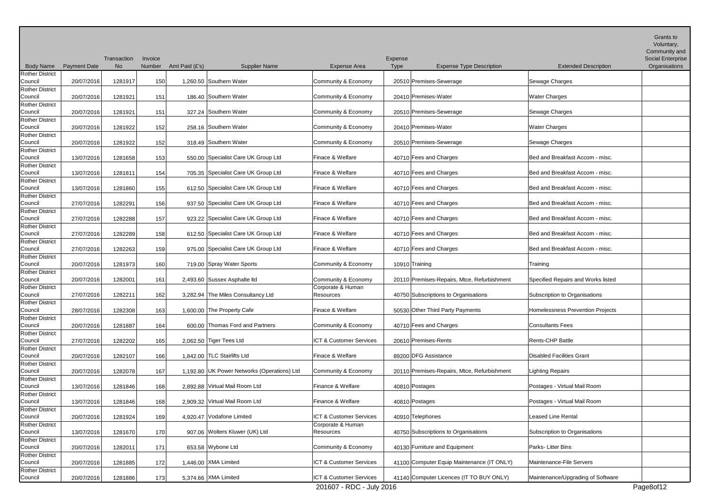|                                   |                     |                          |                   |                |                                             |                                |                                                    |                                    | Grants to<br>Voluntary,<br>Community and  |
|-----------------------------------|---------------------|--------------------------|-------------------|----------------|---------------------------------------------|--------------------------------|----------------------------------------------------|------------------------------------|-------------------------------------------|
| <b>Body Name</b>                  | <b>Payment Date</b> | Transaction<br><b>No</b> | Invoice<br>Number | Amt Paid (£'s) | <b>Supplier Name</b>                        | <b>Expense Area</b>            | Expense<br>Type<br><b>Expense Type Description</b> | <b>Extended Description</b>        | <b>Social Enterprise</b><br>Organisations |
| <b>Rother District</b><br>Council | 20/07/2016          | 1281917                  | 150               |                | 1,260.50 Southern Water                     | Community & Economy            | 20510 Premises-Sewerage                            | Sewage Charges                     |                                           |
| <b>Rother District</b><br>Council | 20/07/2016          | 1281921                  | 151               |                | 186.40 Southern Water                       | Community & Economy            | 20410 Premises-Water                               | <b>Water Charges</b>               |                                           |
| <b>Rother District</b>            |                     |                          |                   |                |                                             |                                |                                                    |                                    |                                           |
| Council<br><b>Rother District</b> | 20/07/2016          | 1281921                  | 151               |                | 327.24 Southern Water                       | Community & Economy            | 20510 Premises-Sewerage                            | Sewage Charges                     |                                           |
| Council                           | 20/07/2016          | 1281922                  | 152               |                | 258.16 Southern Water                       | Community & Economy            | 20410 Premises-Water                               | <b>Water Charges</b>               |                                           |
| Rother District<br>Council        | 20/07/2016          | 1281922                  | 152               |                | 318.49 Southern Water                       | Community & Economy            | 20510 Premises-Sewerage                            | Sewage Charges                     |                                           |
| <b>Rother District</b>            |                     |                          |                   |                |                                             |                                |                                                    |                                    |                                           |
| Council                           | 13/07/2016          | 1281658                  | 153               |                | 550.00 Specialist Care UK Group Ltd         | Finace & Welfare               | 40710 Fees and Charges                             | Bed and Breakfast Accom - misc.    |                                           |
| <b>Rother District</b><br>Council | 13/07/2016          | 1281811                  | 154               |                | 705.35 Specialist Care UK Group Ltd         | Finace & Welfare               | 40710 Fees and Charges                             | Bed and Breakfast Accom - misc.    |                                           |
| Rother District                   |                     |                          |                   |                |                                             |                                |                                                    |                                    |                                           |
| Council<br><b>Rother District</b> | 13/07/2016          | 1281860                  | 155               |                | 612.50 Specialist Care UK Group Ltd         | Finace & Welfare               | 40710 Fees and Charges                             | Bed and Breakfast Accom - misc.    |                                           |
| Council                           | 27/07/2016          | 1282291                  | 156               |                | 937.50 Specialist Care UK Group Ltd         | Finace & Welfare               | 40710 Fees and Charges                             | Bed and Breakfast Accom - misc.    |                                           |
| <b>Rother District</b><br>Council | 27/07/2016          | 1282288                  | 157               |                | 923.22 Specialist Care UK Group Ltd         | Finace & Welfare               | 40710 Fees and Charges                             | Bed and Breakfast Accom - misc.    |                                           |
| <b>Rother District</b>            |                     |                          |                   |                |                                             |                                |                                                    |                                    |                                           |
| Council<br><b>Rother District</b> | 27/07/2016          | 1282289                  | 158               |                | 612.50 Specialist Care UK Group Ltd         | Finace & Welfare               | 40710 Fees and Charges                             | Bed and Breakfast Accom - misc.    |                                           |
| Council                           | 27/07/2016          | 1282263                  | 159               |                | 975.00 Specialist Care UK Group Ltd         | Finace & Welfare               | 40710 Fees and Charges                             | Bed and Breakfast Accom - misc.    |                                           |
| <b>Rother District</b><br>Council |                     |                          |                   |                |                                             | Community & Economy            |                                                    |                                    |                                           |
| <b>Rother District</b>            | 20/07/2016          | 1281973                  | 160               |                | 719.00 Spray Water Sports                   |                                | 10910 Training                                     | Training                           |                                           |
| Council                           | 20/07/2016          | 1282001                  | 161               |                | 2,493.60 Sussex Asphalte Itd                | Community & Economy            | 20110 Premises-Repairs, Mtce, Refurbishment        | Specified Repairs and Works listed |                                           |
| <b>Rother District</b><br>Council | 27/07/2016          | 1282211                  | 162               |                | 3,282.94 The Miles Consultancy Ltd          | Corporate & Human<br>Resources | 40750 Subscriptions to Organisations               | Subscription to Organisations      |                                           |
| <b>Rother District</b>            |                     |                          |                   |                |                                             |                                |                                                    |                                    |                                           |
| Council<br><b>Rother District</b> | 28/07/2016          | 1282308                  | 163               |                | 1,600.00 The Property Cafe                  | Finace & Welfare               | 50530 Other Third Party Payments                   | Homelessness Prevention Projects   |                                           |
| Council                           | 20/07/2016          | 1281887                  | 164               |                | 600.00 Thomas Ford and Partners             | Community & Economy            | 40710 Fees and Charges                             | <b>Consultants Fees</b>            |                                           |
| <b>Rother District</b><br>Council | 27/07/2016          | 1282202                  | 165               |                | 2,062.50 Tiger Tees Ltd                     | ICT & Customer Services        | 20610 Premises-Rents                               | Rents-CHP Battle                   |                                           |
| <b>Rother District</b>            |                     |                          |                   |                |                                             |                                |                                                    |                                    |                                           |
| Council                           | 20/07/2016          | 1282107                  | 166               |                | 1,842.00 TLC Stairlifts Ltd                 | Finace & Welfare               | 89200 DFG Assistance                               | <b>Disabled Facilities Grant</b>   |                                           |
| <b>Rother District</b><br>Council | 20/07/2016          | 1282078                  | 167               |                | 1,192.80 UK Power Networks (Operations) Ltd | Community & Economy            | 20110 Premises-Repairs, Mtce, Refurbishment        | <b>Lighting Repairs</b>            |                                           |
| Rother District                   |                     |                          |                   |                |                                             |                                |                                                    |                                    |                                           |
| Council<br><b>Rother District</b> | 13/07/2016          | 1281846                  | 168               |                | 2,892.88 Virtual Mail Room Ltd              | Finance & Welfare              | 40810 Postages                                     | Postages - Virtual Mail Room       |                                           |
| Council                           | 13/07/2016          | 1281846                  | 168               |                | 2,909.32 Virtual Mail Room Ltd              | Finance & Welfare              | 40810 Postages                                     | Postages - Virtual Mail Room       |                                           |
| <b>Rother District</b><br>Council | 20/07/2016          | 1281924                  | 169               |                | 4,920.47 Vodafone Limited                   | ICT & Customer Services        | 40910 Telephones                                   | Leased Line Rental                 |                                           |
| <b>Rother District</b>            |                     |                          |                   |                |                                             | Corporate & Human              |                                                    |                                    |                                           |
| Council<br><b>Rother District</b> | 13/07/2016          | 1281670                  | 170               |                | 907.06 Wolters Kluwer (UK) Ltd              | Resources                      | 40750 Subscriptions to Organisations               | Subscription to Organisations      |                                           |
| Council                           | 20/07/2016          | 1282011                  | 171               |                | 653.58 Wybone Ltd                           | Community & Economy            | 40130 Furniture and Equipment                      | Parks-Litter Bins                  |                                           |
| <b>Rother District</b>            |                     |                          |                   |                |                                             |                                |                                                    |                                    |                                           |
| Council<br><b>Rother District</b> | 20/07/2016          | 1281885                  | 172               |                | 1,446.00 XMA Limited                        | ICT & Customer Services        | 41100 Computer Equip Maintenance (IT ONLY)         | Maintenance-File Servers           |                                           |
| Council                           | 20/07/2016          | 1281886                  | 173               |                | 5,374.66 XMA Limited                        | ICT & Customer Services        | 41140 Computer Licences (IT TO BUY ONLY)           | Maintenance/Upgrading of Software  |                                           |
|                                   |                     |                          |                   |                |                                             | 201607 - RDC - July 2016       |                                                    |                                    | Page8of12                                 |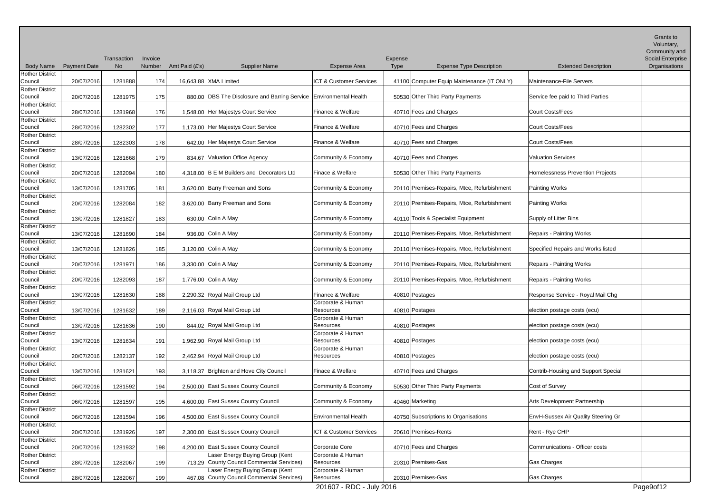|                                                             |                     | Transaction | Invoice |                |                                                                               |                                | Expense         |                                             |                                         | <b>Grants to</b><br>Voluntary,<br>Community and<br>Social Enterprise |
|-------------------------------------------------------------|---------------------|-------------|---------|----------------|-------------------------------------------------------------------------------|--------------------------------|-----------------|---------------------------------------------|-----------------------------------------|----------------------------------------------------------------------|
| <b>Body Name</b>                                            | <b>Payment Date</b> | <b>No</b>   | Number  | Amt Paid (£'s) | <b>Supplier Name</b>                                                          | <b>Expense Area</b>            | Type            | <b>Expense Type Description</b>             | <b>Extended Description</b>             | Organisations                                                        |
| <b>Rother District</b><br>Council                           | 20/07/2016          | 1281888     | 174     |                | 16,643.88 XMA Limited                                                         | ICT & Customer Services        |                 | 41100 Computer Equip Maintenance (IT ONLY)  | Maintenance-File Servers                |                                                                      |
| <b>Rother District</b><br>Council                           | 20/07/2016          | 1281975     | 175     |                | 880.00 DBS The Disclosure and Barring Service                                 | <b>Environmental Health</b>    |                 | 50530 Other Third Party Payments            | Service fee paid to Third Parties       |                                                                      |
| <b>Rother District</b><br>Council                           | 28/07/2016          | 1281968     | 176     |                | 1,548.00 Her Majestys Court Service                                           | Finance & Welfare              |                 | 40710 Fees and Charges                      | <b>Court Costs/Fees</b>                 |                                                                      |
| <b>Rother District</b><br>Council                           | 28/07/2016          | 1282302     | 177     |                | 1,173.00 Her Majestys Court Service                                           | Finance & Welfare              |                 | 40710 Fees and Charges                      | <b>Court Costs/Fees</b>                 |                                                                      |
| <b>Rother District</b>                                      |                     |             |         |                |                                                                               |                                |                 |                                             |                                         |                                                                      |
| Council                                                     | 28/07/2016          | 1282303     | 178     |                | 642.00 Her Majestys Court Service                                             | Finance & Welfare              |                 | 40710 Fees and Charges                      | <b>Court Costs/Fees</b>                 |                                                                      |
| <b>Rother District</b><br>Council                           | 13/07/2016          | 1281668     | 179     |                | 834.67 Valuation Office Agency                                                | Community & Economy            |                 | 40710 Fees and Charges                      | <b>Valuation Services</b>               |                                                                      |
| <b>Rother District</b><br>Council                           | 20/07/2016          | 1282094     | 180     |                | 4,318.00 B E M Builders and Decorators Ltd                                    | Finace & Welfare               |                 | 50530 Other Third Party Payments            | <b>Homelessness Prevention Projects</b> |                                                                      |
| <b>Rother District</b><br>Council                           | 13/07/2016          | 1281705     | 181     |                | 3,620.00 Barry Freeman and Sons                                               | Community & Economy            |                 | 20110 Premises-Repairs, Mtce, Refurbishment | <b>Painting Works</b>                   |                                                                      |
| <b>Rother District</b><br>Council                           | 20/07/2016          | 1282084     | 182     |                | 3,620.00 Barry Freeman and Sons                                               | Community & Economy            |                 | 20110 Premises-Repairs, Mtce, Refurbishment | Painting Works                          |                                                                      |
| <b>Rother District</b>                                      |                     |             |         |                |                                                                               |                                |                 |                                             |                                         |                                                                      |
| Council                                                     | 13/07/2016          | 1281827     | 183     |                | 630.00 Colin A May                                                            | Community & Economy            |                 | 40110 Tools & Specialist Equipment          | Supply of Litter Bins                   |                                                                      |
| <b>Rother District</b><br>Council<br><b>Rother District</b> | 13/07/2016          | 1281690     | 184     |                | 936.00 Colin A May                                                            | Community & Economy            |                 | 20110 Premises-Repairs, Mtce, Refurbishment | Repairs - Painting Works                |                                                                      |
| Council                                                     | 13/07/2016          | 1281826     | 185     |                | 3,120.00 Colin A May                                                          | Community & Economy            |                 | 20110 Premises-Repairs, Mtce, Refurbishment | Specified Repairs and Works listed      |                                                                      |
| <b>Rother District</b><br>Council                           | 20/07/2016          | 1281971     | 186     |                | 3,330.00 Colin A May                                                          | Community & Economy            |                 | 20110 Premises-Repairs, Mtce, Refurbishment | Repairs - Painting Works                |                                                                      |
| <b>Rother District</b><br>Council                           | 20/07/2016          | 1282093     | 187     |                | 1,776.00 Colin A May                                                          | Community & Economy            |                 | 20110 Premises-Repairs, Mtce, Refurbishment | Repairs - Painting Works                |                                                                      |
| <b>Rother District</b><br>Council                           | 13/07/2016          | 1281630     | 188     |                | 2,290.32 Royal Mail Group Ltd                                                 | Finance & Welfare              | 40810 Postages  |                                             | Response Service - Royal Mail Chg       |                                                                      |
| <b>Rother District</b><br>Council                           | 13/07/2016          | 1281632     | 189     |                | 2,116.03 Royal Mail Group Ltd                                                 | Corporate & Human<br>Resources | 40810 Postages  |                                             | election postage costs (ecu)            |                                                                      |
| <b>Rother District</b><br>Council                           | 13/07/2016          | 1281636     | 190     |                | 844.02 Royal Mail Group Ltd                                                   | Corporate & Human<br>Resources | 40810 Postages  |                                             | election postage costs (ecu)            |                                                                      |
| <b>Rother District</b>                                      |                     |             |         |                |                                                                               | Corporate & Human              |                 |                                             |                                         |                                                                      |
| Council                                                     | 13/07/2016          | 1281634     | 191     |                | 1,962.90 Royal Mail Group Ltd                                                 | Resources                      | 40810 Postages  |                                             | election postage costs (ecu)            |                                                                      |
| Rother District<br>Council                                  | 20/07/2016          | 1282137     | 192     |                | 2,462.94 Royal Mail Group Ltd                                                 | Corporate & Human<br>Resources | 40810 Postages  |                                             | election postage costs (ecu)            |                                                                      |
| <b>Rother District</b><br>Council                           | 13/07/2016          | 1281621     | 193     |                | 3,118.37 Brighton and Hove City Council                                       | Finace & Welfare               |                 | 40710 Fees and Charges                      | Contrib-Housing and Support Special     |                                                                      |
| <b>Rother District</b><br>Council                           | 06/07/2016          | 1281592     | 194     |                | 2,500.00 East Sussex County Council                                           | Community & Economy            |                 | 50530 Other Third Party Payments            | Cost of Survey                          |                                                                      |
| <b>Rother District</b><br>Council                           | 06/07/2016          | 1281597     | 195     |                | 4,600.00 East Sussex County Council                                           | Community & Economy            | 40460 Marketing |                                             | Arts Development Partnership            |                                                                      |
| <b>Rother District</b>                                      |                     |             |         |                |                                                                               |                                |                 |                                             |                                         |                                                                      |
| Council<br><b>Rother District</b>                           | 06/07/2016          | 1281594     | 196     |                | 4,500.00 East Sussex County Council                                           | <b>Environmental Health</b>    |                 | 40750 Subscriptions to Organisations        | EnvH-Sussex Air Quality Steering Gr     |                                                                      |
| Council                                                     | 20/07/2016          | 1281926     | 197     |                | 2,300.00 East Sussex County Council                                           | ICT & Customer Services        |                 | 20610 Premises-Rents                        | Rent - Rye CHP                          |                                                                      |
| <b>Rother District</b><br>Council                           | 20/07/2016          | 1281932     | 198     |                | 4,200.00 East Sussex County Council                                           | Corporate Core                 |                 | 40710 Fees and Charges                      | Communications - Officer costs          |                                                                      |
| <b>Rother District</b><br>Council                           | 28/07/2016          | 1282067     | 199     |                | Laser Energy Buying Group (Kent<br>713.29 County Council Commercial Services) | Corporate & Human<br>Resources |                 | 20310 Premises-Gas                          | Gas Charges                             |                                                                      |
| <b>Rother District</b><br>Council                           | 28/07/2016          | 1282067     | 199     |                | Laser Energy Buying Group (Kent<br>467.08 County Council Commercial Services) | Corporate & Human<br>Resources |                 | 20310 Premises-Gas                          | Gas Charges                             |                                                                      |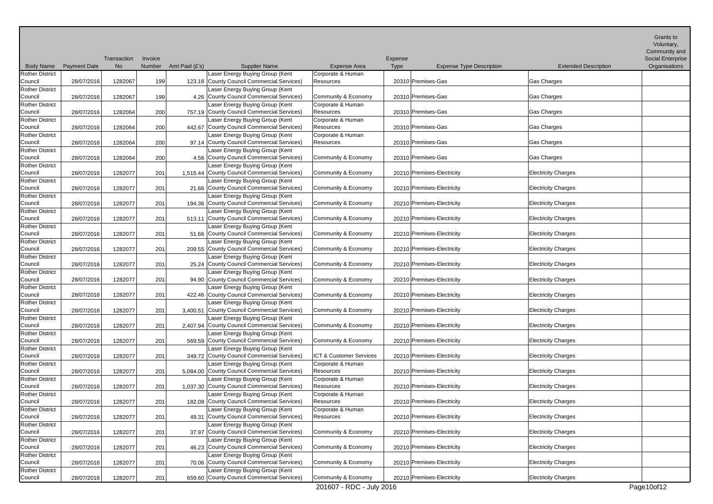|                                   |                     |                   |                   |                |                                                                                 |                                          |                        |                                 |                             | Grants to<br>Voluntary,<br>Community and  |
|-----------------------------------|---------------------|-------------------|-------------------|----------------|---------------------------------------------------------------------------------|------------------------------------------|------------------------|---------------------------------|-----------------------------|-------------------------------------------|
| <b>Body Name</b>                  | <b>Payment Date</b> | Transaction<br>No | Invoice<br>Number | Amt Paid (£'s) | <b>Supplier Name</b>                                                            | <b>Expense Area</b>                      | Expense<br><b>Type</b> | <b>Expense Type Description</b> | <b>Extended Description</b> | <b>Social Enterprise</b><br>Organisations |
| <b>Rother District</b>            |                     |                   |                   |                | Laser Energy Buying Group (Kent                                                 | Corporate & Human                        |                        |                                 |                             |                                           |
| Council                           | 28/07/2016          | 1282067           | 199               |                | 123.18 County Council Commercial Services)                                      | Resources                                |                        | 20310 Premises-Gas              | Gas Charges                 |                                           |
| <b>Rother District</b>            |                     |                   |                   |                | Laser Energy Buying Group (Kent                                                 |                                          |                        |                                 |                             |                                           |
| Council                           | 28/07/2016          | 1282067           | 199               |                | 4.26 County Council Commercial Services)<br>Laser Energy Buying Group (Kent     | Community & Economy<br>Corporate & Human |                        | 20310 Premises-Gas              | Gas Charges                 |                                           |
| <b>Rother District</b><br>Council | 28/07/2016          | 1282064           | 200               |                | 757.19 County Council Commercial Services)                                      | <b>Resources</b>                         |                        | 20310 Premises-Gas              | Gas Charges                 |                                           |
| <b>Rother District</b>            |                     |                   |                   |                | Laser Energy Buying Group (Kent                                                 | Corporate & Human                        |                        |                                 |                             |                                           |
| Council                           | 28/07/2016          | 1282064           | 200               |                | 442.67 County Council Commercial Services)                                      | Resources                                |                        | 20310 Premises-Gas              | Gas Charges                 |                                           |
| <b>Rother District</b>            |                     |                   |                   |                | Laser Energy Buying Group (Kent                                                 | Corporate & Human                        |                        |                                 |                             |                                           |
| Council                           | 28/07/2016          | 1282064           | 200               |                | 97.14 County Council Commercial Services)                                       | Resources                                |                        | 20310 Premises-Gas              | Gas Charges                 |                                           |
| <b>Rother District</b><br>Council | 28/07/2016          | 1282064           |                   |                | Laser Energy Buying Group (Kent<br>4.56 County Council Commercial Services)     | Community & Economy                      |                        | 20310 Premises-Gas              | Gas Charges                 |                                           |
| <b>Rother District</b>            |                     |                   | 200               |                | Laser Energy Buying Group (Kent                                                 |                                          |                        |                                 |                             |                                           |
| Council                           | 28/07/2016          | 1282077           | 201               |                | 1,515.44 County Council Commercial Services)                                    | Community & Economy                      |                        | 20210 Premises-Electricity      | <b>Electricity Charges</b>  |                                           |
| <b>Rother District</b>            |                     |                   |                   |                | Laser Energy Buying Group (Kent                                                 |                                          |                        |                                 |                             |                                           |
| Council                           | 28/07/2016          | 1282077           | 201               |                | 21.66 County Council Commercial Services)                                       | Community & Economy                      |                        | 20210 Premises-Electricity      | <b>Electricity Charges</b>  |                                           |
| <b>Rother District</b>            |                     |                   |                   |                | Laser Energy Buying Group (Kent                                                 |                                          |                        |                                 |                             |                                           |
| Council                           | 28/07/2016          | 1282077           | 201               |                | 194.36 County Council Commercial Services)                                      | Community & Economy                      |                        | 20210 Premises-Electricity      | <b>Electricity Charges</b>  |                                           |
| <b>Rother District</b><br>Council | 28/07/2016          | 1282077           | 201               |                | Laser Energy Buying Group (Kent<br>513.11 County Council Commercial Services)   | Community & Economy                      |                        | 20210 Premises-Electricity      | <b>Electricity Charges</b>  |                                           |
| <b>Rother District</b>            |                     |                   |                   |                | Laser Energy Buying Group (Kent                                                 |                                          |                        |                                 |                             |                                           |
| Council                           | 28/07/2016          | 1282077           | 201               |                | 51.66 County Council Commercial Services)                                       | Community & Economy                      |                        | 20210 Premises-Electricity      | <b>Electricity Charges</b>  |                                           |
| <b>Rother District</b>            |                     |                   |                   |                | Laser Energy Buying Group (Kent                                                 |                                          |                        |                                 |                             |                                           |
| Council                           | 28/07/2016          | 1282077           | 201               |                | 209.55 County Council Commercial Services)                                      | Community & Economy                      |                        | 20210 Premises-Electricity      | <b>Electricity Charges</b>  |                                           |
| <b>Rother District</b>            |                     |                   |                   |                | Laser Energy Buying Group (Kent                                                 |                                          |                        |                                 |                             |                                           |
| Council                           | 28/07/2016          | 1282077           | 201               |                | 25.24 County Council Commercial Services)                                       | Community & Economy                      |                        | 20210 Premises-Electricity      | <b>Electricity Charges</b>  |                                           |
| <b>Rother District</b><br>Council | 28/07/2016          | 1282077           | 201               |                | Laser Energy Buying Group (Kent<br>94.90 County Council Commercial Services)    | Community & Economy                      |                        | 20210 Premises-Electricity      | <b>Electricity Charges</b>  |                                           |
| <b>Rother District</b>            |                     |                   |                   |                | Laser Energy Buying Group (Kent                                                 |                                          |                        |                                 |                             |                                           |
| Council                           | 28/07/2016          | 1282077           | 201               |                | 422.46 County Council Commercial Services)                                      | Community & Economy                      |                        | 20210 Premises-Electricity      | <b>Electricity Charges</b>  |                                           |
| <b>Rother District</b>            |                     |                   |                   |                | Laser Energy Buying Group (Kent                                                 |                                          |                        |                                 |                             |                                           |
| Council                           | 28/07/2016          | 1282077           | 201               |                | 3,400.51 County Council Commercial Services)                                    | Community & Economy                      |                        | 20210 Premises-Electricity      | <b>Electricity Charges</b>  |                                           |
| <b>Rother District</b><br>Council |                     |                   |                   |                | Laser Energy Buying Group (Kent<br>2,407.94 County Council Commercial Services) | Community & Economy                      |                        |                                 |                             |                                           |
| <b>Rother District</b>            | 28/07/2016          | 1282077           | 201               |                | Laser Energy Buying Group (Kent                                                 |                                          |                        | 20210 Premises-Electricity      | <b>Electricity Charges</b>  |                                           |
| Council                           | 28/07/2016          | 1282077           | 201               |                | 569.59 County Council Commercial Services)                                      | Community & Economy                      |                        | 20210 Premises-Electricity      | <b>Electricity Charges</b>  |                                           |
| <b>Rother District</b>            |                     |                   |                   |                | Laser Energy Buying Group (Kent                                                 |                                          |                        |                                 |                             |                                           |
| Council                           | 28/07/2016          | 1282077           | 201               |                | 349.72 County Council Commercial Services)                                      | ICT & Customer Services                  |                        | 20210 Premises-Electricity      | <b>Electricity Charges</b>  |                                           |
| <b>Rother District</b>            |                     |                   |                   |                | Laser Energy Buying Group (Kent                                                 | Corporate & Human                        |                        |                                 |                             |                                           |
| Council                           | 28/07/2016          | 1282077           | 201               |                | 5,084.00 County Council Commercial Services)                                    | Resources                                |                        | 20210 Premises-Electricity      | <b>Electricity Charges</b>  |                                           |
| <b>Rother District</b><br>Council | 28/07/2016          | 1282077           | 201               |                | Laser Energy Buying Group (Kent<br>1,037.30 County Council Commercial Services) | Corporate & Human<br>Resources           |                        | 20210 Premises-Electricity      | <b>Electricity Charges</b>  |                                           |
| <b>Rother District</b>            |                     |                   |                   |                | Laser Energy Buying Group (Kent                                                 | Corporate & Human                        |                        |                                 |                             |                                           |
| Council                           | 28/07/2016          | 1282077           | 201               |                | 182.09 County Council Commercial Services)                                      | Resources                                |                        | 20210 Premises-Electricity      | <b>Electricity Charges</b>  |                                           |
| <b>Rother District</b>            |                     |                   |                   |                | Laser Energy Buying Group (Kent                                                 | Corporate & Human                        |                        |                                 |                             |                                           |
| Council                           | 28/07/2016          | 1282077           | 201               |                | 49.31 County Council Commercial Services)                                       | Resources                                |                        | 20210 Premises-Electricity      | <b>Electricity Charges</b>  |                                           |
| <b>Rother District</b>            |                     |                   |                   |                | Laser Energy Buying Group (Kent                                                 |                                          |                        |                                 |                             |                                           |
| Council<br><b>Rother District</b> | 28/07/2016          | 1282077           | 201               |                | 37.97 County Council Commercial Services)<br>Laser Energy Buying Group (Kent    | Community & Economy                      |                        | 20210 Premises-Electricity      | <b>Electricity Charges</b>  |                                           |
| Council                           | 28/07/2016          | 1282077           | 201               |                | 46.23 County Council Commercial Services)                                       | Community & Economy                      |                        | 20210 Premises-Electricity      | <b>Electricity Charges</b>  |                                           |
| <b>Rother District</b>            |                     |                   |                   |                | Laser Energy Buying Group (Kent                                                 |                                          |                        |                                 |                             |                                           |
| Council                           | 28/07/2016          | 1282077           | 201               |                | 70.06 County Council Commercial Services)                                       | Community & Economy                      |                        | 20210 Premises-Electricity      | <b>Electricity Charges</b>  |                                           |
| <b>Rother District</b>            |                     |                   |                   |                | Laser Energy Buying Group (Kent                                                 |                                          |                        |                                 |                             |                                           |
| Council                           | 28/07/2016          | 1282077           | 201               |                | 659.60 County Council Commercial Services)                                      | Community & Economy                      |                        | 20210 Premises-Electricity      | <b>Electricity Charges</b>  |                                           |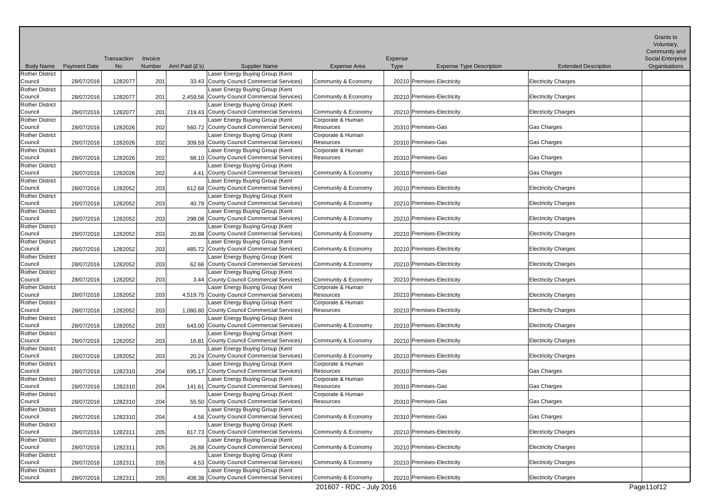|                                   |                     |                   |                   |                |                                                                                 |                                       |                        |                                 |                             | Grants to<br>Voluntary,<br>Community and  |
|-----------------------------------|---------------------|-------------------|-------------------|----------------|---------------------------------------------------------------------------------|---------------------------------------|------------------------|---------------------------------|-----------------------------|-------------------------------------------|
| <b>Body Name</b>                  | <b>Payment Date</b> | Transaction<br>No | Invoice<br>Number | Amt Paid (£'s) | <b>Supplier Name</b>                                                            | <b>Expense Area</b>                   | Expense<br><b>Type</b> | <b>Expense Type Description</b> | <b>Extended Description</b> | <b>Social Enterprise</b><br>Organisations |
| <b>Rother District</b><br>Council | 28/07/2016          | 1282077           | 201               |                | Laser Energy Buying Group (Kent<br>33.43 County Council Commercial Services)    | Community & Economy                   |                        | 20210 Premises-Electricity      | <b>Electricity Charges</b>  |                                           |
| <b>Rother District</b><br>Council | 28/07/2016          | 1282077           | 201               |                | Laser Energy Buying Group (Kent<br>2,459.56 County Council Commercial Services) | Community & Economy                   |                        | 20210 Premises-Electricity      | <b>Electricity Charges</b>  |                                           |
| <b>Rother District</b><br>Council | 28/07/2016          | 1282077           | 201               |                | Laser Energy Buying Group (Kent<br>219.43 County Council Commercial Services)   | Community & Economy                   |                        | 20210 Premises-Electricity      | <b>Electricity Charges</b>  |                                           |
| <b>Rother District</b>            |                     |                   |                   |                | Laser Energy Buying Group (Kent                                                 | Corporate & Human                     |                        |                                 |                             |                                           |
| Council                           | 28/07/2016          | 1282026           | 202               |                | 560.72 County Council Commercial Services)                                      | <b>Resources</b>                      |                        | 20310 Premises-Gas              | Gas Charges                 |                                           |
| <b>Rother District</b><br>Council | 28/07/2016          | 1282026           | 202               |                | Laser Energy Buying Group (Kent<br>309.59 County Council Commercial Services)   | Corporate & Human<br><b>Resources</b> |                        | 20310 Premises-Gas              | Gas Charges                 |                                           |
| <b>Rother District</b><br>Council | 28/07/2016          | 1282026           | 202               |                | Laser Energy Buying Group (Kent<br>68.10 County Council Commercial Services)    | Corporate & Human<br>Resources        |                        | 20310 Premises-Gas              | Gas Charges                 |                                           |
| <b>Rother District</b><br>Council | 28/07/2016          | 1282026           | 202               |                | Laser Energy Buying Group (Kent<br>4.41 County Council Commercial Services)     | Community & Economy                   |                        | 20310 Premises-Gas              | Gas Charges                 |                                           |
| <b>Rother District</b><br>Council | 28/07/2016          | 1282052           | 203               |                | Laser Energy Buying Group (Kent<br>612.68 County Council Commercial Services)   | Community & Economy                   |                        | 20210 Premises-Electricity      | <b>Electricity Charges</b>  |                                           |
| <b>Rother District</b><br>Council | 28/07/2016          | 1282052           |                   |                | Laser Energy Buying Group (Kent<br>40.78 County Council Commercial Services)    |                                       |                        |                                 |                             |                                           |
| <b>Rother District</b>            |                     |                   | 203               |                | Laser Energy Buying Group (Kent                                                 | Community & Economy                   |                        | 20210 Premises-Electricity      | <b>Electricity Charges</b>  |                                           |
| Council                           | 28/07/2016          | 1282052           | 203               |                | 298.08 County Council Commercial Services)                                      | Community & Economy                   |                        | 20210 Premises-Electricity      | <b>Electricity Charges</b>  |                                           |
| <b>Rother District</b><br>Council |                     | 1282052           |                   |                | Laser Energy Buying Group (Kent<br>20.88 County Council Commercial Services)    | Community & Economy                   |                        | 20210 Premises-Electricity      | <b>Electricity Charges</b>  |                                           |
| <b>Rother District</b>            | 28/07/2016          |                   | 203               |                | Laser Energy Buying Group (Kent                                                 |                                       |                        |                                 |                             |                                           |
| Council                           | 28/07/2016          | 1282052           | 203               |                | 485.72 County Council Commercial Services)                                      | Community & Economy                   |                        | 20210 Premises-Electricity      | <b>Electricity Charges</b>  |                                           |
| <b>Rother District</b><br>Council | 28/07/2016          | 1282052           | 203               |                | Laser Energy Buying Group (Kent<br>62.66 County Council Commercial Services)    | Community & Economy                   |                        | 20210 Premises-Electricity      | <b>Electricity Charges</b>  |                                           |
| <b>Rother District</b><br>Council | 28/07/2016          | 1282052           | 203               |                | Laser Energy Buying Group (Kent<br>3.44 County Council Commercial Services)     | Community & Economy                   |                        | 20210 Premises-Electricity      | <b>Electricity Charges</b>  |                                           |
| <b>Rother District</b><br>Council | 28/07/2016          | 1282052           | 203               |                | Laser Energy Buying Group (Kent<br>4,519.75 County Council Commercial Services) | Corporate & Human<br>Resources        |                        | 20210 Premises-Electricity      | <b>Electricity Charges</b>  |                                           |
| <b>Rother District</b><br>Council | 28/07/2016          | 1282052           | 203               |                | Laser Energy Buying Group (Kent<br>1,080.80 County Council Commercial Services) | Corporate & Human<br>Resources        |                        | 20210 Premises-Electricity      | <b>Electricity Charges</b>  |                                           |
| <b>Rother District</b><br>Council | 28/07/2016          | 1282052           | 203               |                | Laser Energy Buying Group (Kent<br>643.00 County Council Commercial Services)   | Community & Economy                   |                        | 20210 Premises-Electricity      | <b>Electricity Charges</b>  |                                           |
| <b>Rother District</b>            |                     |                   |                   |                | Laser Energy Buying Group (Kent                                                 |                                       |                        |                                 |                             |                                           |
| Council<br>Rother District        | 28/07/2016          | 1282052           | 203               |                | 16.81 County Council Commercial Services)                                       | Community & Economy                   |                        | 20210 Premises-Electricity      | <b>Electricity Charges</b>  |                                           |
| Council                           | 28/07/2016          | 1282052           | 203               |                | Laser Energy Buying Group (Kent<br>20.24 County Council Commercial Services)    | Community & Economy                   |                        | 20210 Premises-Electricity      | <b>Electricity Charges</b>  |                                           |
| <b>Rother District</b><br>Council | 28/07/2016          | 1282310           | 204               |                | Laser Energy Buying Group (Kent<br>695.17 County Council Commercial Services)   | Corporate & Human<br>Resources        |                        | 20310 Premises-Gas              | Gas Charges                 |                                           |
| Rother District<br>Council        | 28/07/2016          | 1282310           | 204               |                | Laser Energy Buying Group (Kent<br>141.61 County Council Commercial Services)   | Corporate & Human<br>Resources        |                        | 20310 Premises-Gas              | Gas Charges                 |                                           |
| <b>Rother District</b>            |                     |                   |                   |                | Laser Energy Buying Group (Kent                                                 | Corporate & Human                     |                        |                                 |                             |                                           |
| Council<br><b>Rother District</b> | 28/07/2016          | 1282310           | 204               |                | 55.50 County Council Commercial Services)<br>Laser Energy Buying Group (Kent    | Resources                             |                        | 20310 Premises-Gas              | Gas Charges                 |                                           |
| Council                           | 28/07/2016          | 1282310           | 204               |                | 4.56 County Council Commercial Services)                                        | Community & Economy                   |                        | 20310 Premises-Gas              | Gas Charges                 |                                           |
| <b>Rother District</b><br>Council | 28/07/2016          | 1282311           | 205               |                | Laser Energy Buying Group (Kent<br>817.73 County Council Commercial Services)   | Community & Economy                   |                        | 20210 Premises-Electricity      | <b>Electricity Charges</b>  |                                           |
| <b>Rother District</b><br>Council | 28/07/2016          | 1282311           | 205               |                | Laser Energy Buying Group (Kent<br>26.88 County Council Commercial Services)    | Community & Economy                   |                        | 20210 Premises-Electricity      | <b>Electricity Charges</b>  |                                           |
| <b>Rother District</b><br>Council | 28/07/2016          | 1282311           | 205               |                | Laser Energy Buying Group (Kent<br>4.53 County Council Commercial Services)     | Community & Economy                   |                        | 20210 Premises-Electricity      | <b>Electricity Charges</b>  |                                           |
| <b>Rother District</b><br>Council | 28/07/2016          | 1282311           | 205               |                | Laser Energy Buying Group (Kent<br>408.38 County Council Commercial Services)   | Community & Economy                   |                        | 20210 Premises-Electricity      | <b>Electricity Charges</b>  |                                           |